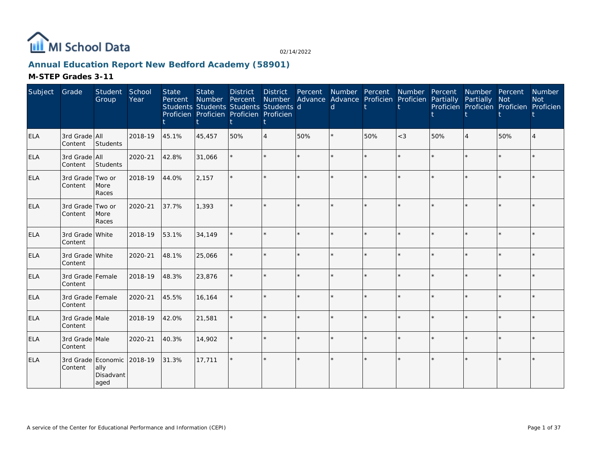

# **Annual Education Report New Bedford Academy (58901)**

| Subject    | Grade                       | Student<br>Group                                | School<br>Year | <b>State</b><br>Percent | <b>State</b><br>Number Percent | <b>District</b><br>Students Students Students Students d<br>Proficien Proficien Proficien Proficien | <b>District</b><br>Number | Percent | d | Number Percent Number Percent<br>Advance Advance Proficien Proficien Partially |         |     | Number Percent<br>Partially<br>Proficien Proficien Proficien Proficien | <b>Not</b> | <b>Number</b><br><b>Not</b> |
|------------|-----------------------------|-------------------------------------------------|----------------|-------------------------|--------------------------------|-----------------------------------------------------------------------------------------------------|---------------------------|---------|---|--------------------------------------------------------------------------------|---------|-----|------------------------------------------------------------------------|------------|-----------------------------|
| <b>ELA</b> | 3rd Grade All<br>Content    | Students                                        | 2018-19        | 45.1%                   | 45,457                         | 50%                                                                                                 | $\overline{4}$            | 50%     |   | 50%                                                                            | $<$ 3   | 50% | $\overline{4}$                                                         | 50%        |                             |
| ELA        | 3rd Grade All<br>Content    | Students                                        | 2020-21        | 42.8%                   | 31,066                         |                                                                                                     |                           |         |   |                                                                                |         |     |                                                                        | $\star$    |                             |
| ELA        | 3rd Grade Two or<br>Content | More<br>Races                                   | 2018-19        | 44.0%                   | 2,157                          |                                                                                                     |                           |         |   |                                                                                |         |     |                                                                        |            |                             |
| <b>ELA</b> | 3rd Grade Two or<br>Content | More<br>Races                                   | 2020-21        | 37.7%                   | 1,393                          |                                                                                                     |                           |         |   |                                                                                |         |     |                                                                        |            |                             |
| <b>ELA</b> | 3rd Grade White<br>Content  |                                                 | 2018-19        | 53.1%                   | 34,149                         |                                                                                                     |                           |         |   |                                                                                |         |     |                                                                        |            |                             |
| ELA        | 3rd Grade White<br>Content  |                                                 | 2020-21        | 48.1%                   | 25,066                         |                                                                                                     |                           | $\star$ |   |                                                                                | $\star$ |     |                                                                        | ÷.         |                             |
| <b>ELA</b> | 3rd Grade Female<br>Content |                                                 | 2018-19        | 48.3%                   | 23,876                         |                                                                                                     |                           |         |   |                                                                                |         |     |                                                                        |            |                             |
| ELA        | 3rd Grade Female<br>Content |                                                 | 2020-21        | 45.5%                   | 16,164                         |                                                                                                     |                           |         |   |                                                                                |         |     |                                                                        | $\star$    |                             |
| ELA        | 3rd Grade Male<br>Content   |                                                 | 2018-19        | 42.0%                   | 21,581                         |                                                                                                     |                           | $\star$ |   |                                                                                |         |     |                                                                        | ÷.         |                             |
| <b>ELA</b> | 3rd Grade Male<br>Content   |                                                 | 2020-21        | 40.3%                   | 14,902                         |                                                                                                     |                           |         |   |                                                                                |         |     |                                                                        |            |                             |
| <b>ELA</b> | Content                     | 3rd Grade Economic<br>ally<br>Disadvant<br>aged | 2018-19        | 31.3%                   | 17,711                         |                                                                                                     |                           |         |   |                                                                                |         |     |                                                                        |            |                             |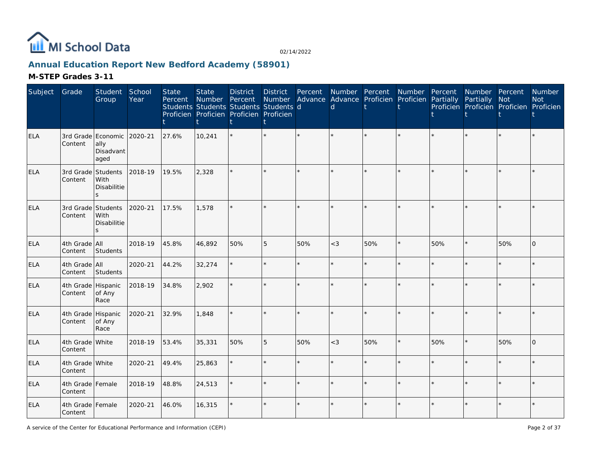

# **Annual Education Report New Bedford Academy (58901)**

| Subject    | Grade                         | Student<br>Group                                | School<br>Year | <b>State</b><br>Percent | <b>State</b><br>Number<br>Students Students Students Students d<br>Proficien Proficien Proficien Proficien | <b>District</b><br>Percent | <b>District</b> | Percent | d     | Number Percent Number Percent<br>Number Advance Advance Proficien Proficien Partially |         |     | Number Percent<br>Partially Not | Proficien Proficien Proficien Proficien | Number<br><b>Not</b> |
|------------|-------------------------------|-------------------------------------------------|----------------|-------------------------|------------------------------------------------------------------------------------------------------------|----------------------------|-----------------|---------|-------|---------------------------------------------------------------------------------------|---------|-----|---------------------------------|-----------------------------------------|----------------------|
| <b>ELA</b> | Content                       | 3rd Grade Economic<br>ally<br>Disadvant<br>aged | 2020-21        | 27.6%                   | 10,241                                                                                                     |                            |                 |         |       |                                                                                       |         |     |                                 |                                         |                      |
| ELA        | 3rd Grade<br>Content          | Students<br>With<br>Disabilitie<br>$\mathbf{z}$ | 2018-19        | 19.5%                   | 2,328                                                                                                      |                            |                 |         |       |                                                                                       | $\star$ |     |                                 |                                         |                      |
| ELA        | 3rd Grade<br>Content          | Students<br>With<br>Disabilitie<br>$\leq$       | 2020-21        | 17.5%                   | 1,578                                                                                                      |                            |                 |         |       |                                                                                       |         |     |                                 |                                         |                      |
| <b>ELA</b> | 4th Grade All<br>Content      | Students                                        | 2018-19        | 45.8%                   | 46,892                                                                                                     | 50%                        | 5               | 50%     | $<$ 3 | 50%                                                                                   | ×.      | 50% |                                 | 50%                                     | $\Omega$             |
| <b>ELA</b> | 4th Grade All<br>Content      | Students                                        | 2020-21        | 44.2%                   | 32,274                                                                                                     |                            |                 |         |       |                                                                                       | $\star$ |     |                                 | $\star$                                 |                      |
| <b>ELA</b> | 4th Grade Hispanic<br>Content | of Any<br>Race                                  | 2018-19        | 34.8%                   | 2,902                                                                                                      |                            |                 | $\star$ |       |                                                                                       |         |     |                                 | $\star$                                 |                      |
| ELA        | 4th Grade Hispanic<br>Content | of Any<br>Race                                  | 2020-21        | 32.9%                   | 1,848                                                                                                      |                            |                 | ÷.      |       |                                                                                       | ÷       |     |                                 | $\star$                                 |                      |
| <b>ELA</b> | 4th Grade White<br>Content    |                                                 | 2018-19        | 53.4%                   | 35,331                                                                                                     | 50%                        | 5               | 50%     | $<$ 3 | 50%                                                                                   | $\star$ | 50% |                                 | 50%                                     | $\Omega$             |
| ELA        | 4th Grade White<br>Content    |                                                 | 2020-21        | 49.4%                   | 25,863                                                                                                     |                            |                 | $\star$ |       |                                                                                       | $\star$ |     |                                 | $\star$                                 |                      |
| ELA        | 4th Grade Female<br>Content   |                                                 | 2018-19        | 48.8%                   | 24,513                                                                                                     |                            |                 | ÷.      |       |                                                                                       | ÷.      |     |                                 | ÷.                                      |                      |
| <b>ELA</b> | 4th Grade Female<br>Content   |                                                 | 2020-21        | 46.0%                   | 16,315                                                                                                     |                            |                 |         |       |                                                                                       | $\star$ |     |                                 | $\star$                                 |                      |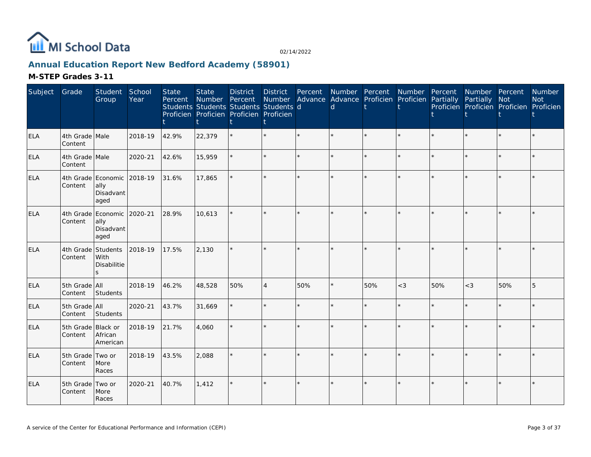

# **Annual Education Report New Bedford Academy (58901)**

| Subject    | Grade                         | Student<br>Group                                        | School<br>Year | <b>State</b><br>Percent | <b>State</b><br>Number | <b>District</b><br>Percent<br>Students Students Students Students d<br>Proficien Proficien Proficien Proficien | <b>District</b><br>Number | Percent | <sub>d</sub> | Number Percent<br>Advance Advance Proficien Proficien | Number  | Percent<br>Partially | Number Percent<br>Partially | <b>Not</b><br>Proficien Proficien Proficien Proficien | Number<br><b>Not</b> |
|------------|-------------------------------|---------------------------------------------------------|----------------|-------------------------|------------------------|----------------------------------------------------------------------------------------------------------------|---------------------------|---------|--------------|-------------------------------------------------------|---------|----------------------|-----------------------------|-------------------------------------------------------|----------------------|
| <b>ELA</b> | 4th Grade Male<br>Content     |                                                         | 2018-19        | 42.9%                   | 22,379                 |                                                                                                                |                           | $\star$ |              |                                                       |         |                      |                             | $\star$                                               |                      |
| ELA        | 4th Grade Male<br>Content     |                                                         | 2020-21        | 42.6%                   | 15,959                 |                                                                                                                |                           |         |              |                                                       |         |                      |                             | $\star$                                               |                      |
| <b>ELA</b> | Content                       | 4th Grade Economic 2018-19<br>ally<br>Disadvant<br>aged |                | 31.6%                   | 17,865                 |                                                                                                                |                           |         |              |                                                       |         |                      |                             |                                                       |                      |
| ELA        | Content                       | 4th Grade Economic 2020-21<br>ally<br>Disadvant<br>aged |                | 28.9%                   | 10,613                 |                                                                                                                |                           |         |              |                                                       | $\star$ |                      | $\star$                     | $\star$                                               |                      |
| ELA        | 4th Grade<br>Content          | Students<br>With<br>Disabilitie<br>ς                    | 2018-19        | 17.5%                   | 2,130                  |                                                                                                                |                           |         |              |                                                       | $\star$ |                      | $\star$                     | $\star$                                               |                      |
| ELA        | 5th Grade All<br>Content      | Students                                                | 2018-19        | 46.2%                   | 48,528                 | 50%                                                                                                            | $\overline{4}$            | 50%     |              | 50%                                                   | $<$ 3   | 50%                  | $<$ 3                       | 50%                                                   | 5                    |
| ELA        | 5th Grade All<br>Content      | Students                                                | 2020-21        | 43.7%                   | 31,669                 |                                                                                                                |                           |         |              |                                                       |         |                      | $\star$                     | $\star$                                               |                      |
| <b>ELA</b> | 5th Grade Black or<br>Content | African<br>American                                     | 2018-19        | 21.7%                   | 4,060                  |                                                                                                                |                           |         |              |                                                       | $\star$ |                      | ¥.                          | $\star$                                               |                      |
| <b>ELA</b> | 5th Grade<br>Content          | Two or<br>More<br>Races                                 | 2018-19        | 43.5%                   | 2,088                  |                                                                                                                |                           |         |              |                                                       | ÷       |                      |                             | $\star$                                               |                      |
| <b>ELA</b> | 5th Grade Two or<br>Content   | More<br>Races                                           | 2020-21        | 40.7%                   | 1,412                  |                                                                                                                |                           |         |              |                                                       |         |                      | $\star$                     | $\star$                                               |                      |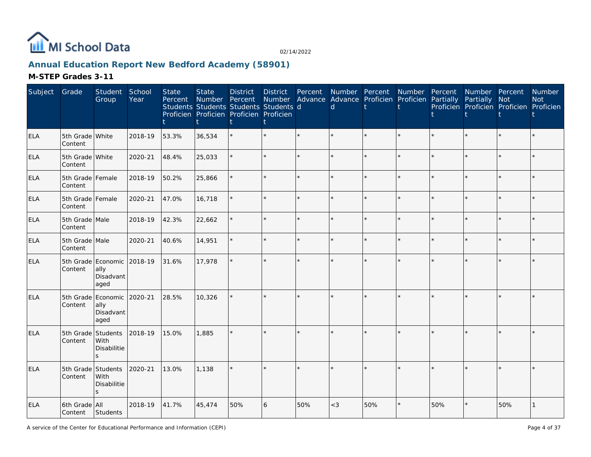

# **Annual Education Report New Bedford Academy (58901)**

| Subject    | Grade                         | Student<br>Group                                        | School<br>Year | <b>State</b><br>Percent | <b>State</b><br>Number<br>Students Students Students Students d<br>Proficien Proficien Proficien Proficien | <b>District</b><br>Percent | <b>District</b><br>t | Percent | Number Percent<br><sub>d</sub> | Number Advance Advance Proficien Proficien | Number  | Percent<br>Partially | Number Percent<br>Partially | Not<br>Proficien Proficien Proficien Proficien | Number<br><b>Not</b> |
|------------|-------------------------------|---------------------------------------------------------|----------------|-------------------------|------------------------------------------------------------------------------------------------------------|----------------------------|----------------------|---------|--------------------------------|--------------------------------------------|---------|----------------------|-----------------------------|------------------------------------------------|----------------------|
| <b>ELA</b> | 5th Grade White<br>Content    |                                                         | 2018-19        | 53.3%                   | 36,534                                                                                                     |                            | $\star$              | ÷.      |                                | $\star$                                    | ÷.      |                      | $\star$                     | ÷.                                             |                      |
| <b>ELA</b> | 5th Grade White<br>Content    |                                                         | 2020-21        | 48.4%                   | 25,033                                                                                                     |                            | $\star$              | ÷.      |                                | $\star$                                    | $\star$ |                      | $\star$                     | $\star$                                        |                      |
| ELA        | 5th Grade Female<br>Content   |                                                         | 2018-19        | 50.2%                   | 25,866                                                                                                     |                            | $\star$              | $\star$ |                                | $\star$                                    | ÷.      |                      | $\star$                     | ÷.                                             |                      |
| <b>ELA</b> | 5th Grade Female<br>Content   |                                                         | 2020-21        | 47.0%                   | 16,718                                                                                                     |                            | $\star$              | $\star$ |                                | $\star$                                    | ÷.      |                      | ÷.                          | ÷.                                             |                      |
| <b>ELA</b> | 5th Grade Male<br>Content     |                                                         | 2018-19        | 42.3%                   | 22,662                                                                                                     |                            | $\star$              |         |                                | $\star$                                    | $\star$ |                      | $\star$                     | $\star$                                        |                      |
| ELA        | 5th Grade Male<br>Content     |                                                         | 2020-21        | 40.6%                   | 14,951                                                                                                     |                            | $\star$              | ÷.      |                                | $\star$                                    | $\star$ |                      | $\star$                     | ÷.                                             |                      |
| <b>ELA</b> | Content                       | 5th Grade Economic 2018-19<br>ally<br>Disadvant<br>aged |                | 31.6%                   | 17,978                                                                                                     |                            | $\star$              |         |                                | $\star$                                    |         |                      | $\star$                     | $\star$                                        |                      |
| <b>ELA</b> | Content                       | 5th Grade Economic 2020-21<br>ally<br>Disadvant<br>aged |                | 28.5%                   | 10,326                                                                                                     |                            | $\star$              |         |                                | ÷.                                         |         |                      |                             |                                                |                      |
| <b>ELA</b> | Content                       | 5th Grade Students<br>With<br>Disabilitie<br>S.         | 2018-19        | 15.0%                   | 1,885                                                                                                      |                            | ÷.                   |         |                                | ÷.                                         | ų.      |                      | ÷.                          | ų.                                             |                      |
| <b>ELA</b> | 5th Grade Students<br>Content | With<br>Disabilitie<br>S.                               | 2020-21        | 13.0%                   | 1,138                                                                                                      |                            | $\star$              |         |                                | $\star$                                    |         |                      | $\star$                     |                                                |                      |
| <b>ELA</b> | 6th Grade All<br>Content      | Students                                                | 2018-19        | 41.7%                   | 45,474                                                                                                     | 50%                        | 6                    | 50%     | $<$ 3                          | 50%                                        |         | 50%                  | $\star$                     | 50%                                            |                      |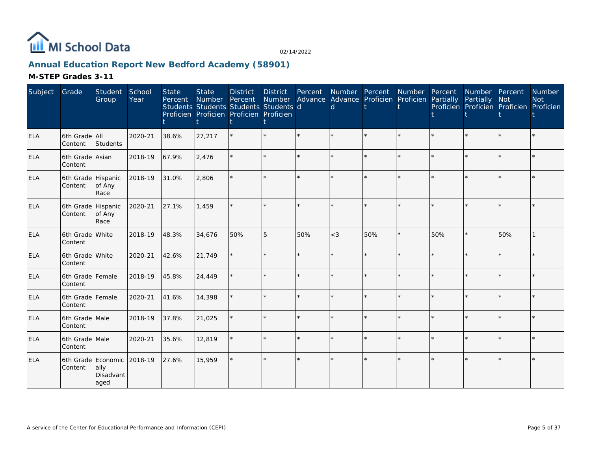

# **Annual Education Report New Bedford Academy (58901)**

| Subject    | Grade                         | Student<br>Group          | School<br>Year | <b>State</b><br>Percent | <b>State</b><br>Number Percent<br>Students Students Students Students d<br>Proficien Proficien Proficien Proficien | <b>District</b> | <b>District</b><br>Number | Percent | Number Percent<br>Advance Advance Proficien Proficien Partially<br>d |     | Number Percent |     | Number Percent<br>Partially<br>Proficien Proficien Proficien Proficien | <b>Not</b> | Number<br><b>Not</b> |
|------------|-------------------------------|---------------------------|----------------|-------------------------|--------------------------------------------------------------------------------------------------------------------|-----------------|---------------------------|---------|----------------------------------------------------------------------|-----|----------------|-----|------------------------------------------------------------------------|------------|----------------------|
| <b>ELA</b> | 6th Grade All<br>Content      | Students                  | 2020-21        | 38.6%                   | 27,217                                                                                                             |                 |                           | $\star$ |                                                                      |     | $\star$        |     |                                                                        |            |                      |
| <b>ELA</b> | 6th Grade Asian<br>Content    |                           | 2018-19        | 67.9%                   | 2,476                                                                                                              |                 |                           | ÷.      |                                                                      |     | ÷.             |     |                                                                        | $\star$    |                      |
| <b>ELA</b> | 6th Grade Hispanic<br>Content | of Any<br>Race            | 2018-19        | 31.0%                   | 2,806                                                                                                              |                 |                           |         |                                                                      |     |                |     |                                                                        |            |                      |
| <b>ELA</b> | 6th Grade Hispanic<br>Content | of Any<br>Race            | 2020-21        | 27.1%                   | 1.459                                                                                                              |                 |                           |         |                                                                      |     |                |     |                                                                        |            |                      |
| <b>ELA</b> | 6th Grade White<br>Content    |                           | 2018-19        | 48.3%                   | 34,676                                                                                                             | 50%             | 5                         | 50%     | $<$ 3                                                                | 50% | $\star$        | 50% |                                                                        | 50%        |                      |
| <b>ELA</b> | 6th Grade White<br>Content    |                           | 2020-21        | 42.6%                   | 21,749                                                                                                             |                 |                           | $\star$ |                                                                      |     | $\star$        |     |                                                                        | $\star$    |                      |
| ELA        | 6th Grade Female<br>Content   |                           | 2018-19        | 45.8%                   | 24,449                                                                                                             |                 |                           | $\star$ | ÷                                                                    |     | $\star$        |     |                                                                        | $\star$    |                      |
| <b>ELA</b> | 6th Grade Female<br>Content   |                           | 2020-21        | 41.6%                   | 14,398                                                                                                             |                 |                           | $\star$ | $\star$                                                              |     | $\star$        |     |                                                                        |            |                      |
| <b>ELA</b> | 6th Grade Male<br>Content     |                           | 2018-19        | 37.8%                   | 21,025                                                                                                             |                 |                           | $\star$ |                                                                      |     | $\star$        |     |                                                                        | $\star$    |                      |
| <b>ELA</b> | 6th Grade Male<br>Content     |                           | 2020-21        | 35.6%                   | 12,819                                                                                                             |                 |                           | $\star$ | ÷                                                                    |     | $\star$        |     |                                                                        | $\star$    |                      |
| <b>ELA</b> | 6th Grade Economic<br>Content | ally<br>Disadvant<br>aged | 2018-19        | 27.6%                   | 15,959                                                                                                             |                 |                           | $\star$ |                                                                      |     |                |     |                                                                        |            |                      |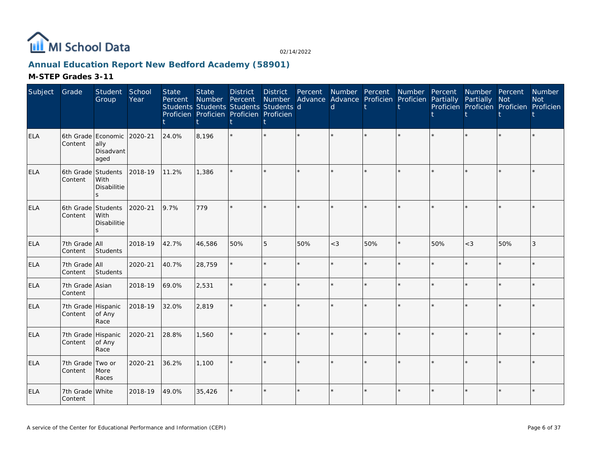

# **Annual Education Report New Bedford Academy (58901)**

| Subject    | Grade                         | Student<br>Group                                | School<br>Year | <b>State</b><br>Percent | <b>State</b><br>Number | <b>District</b><br>Percent<br>Students Students Students Students d<br>Proficien Proficien Proficien Proficien | <b>District</b><br>Number | Percent<br>Advance | $\mathsf{d}$ | Number Percent<br>Advance Proficien Proficien | Number | Percent<br>Partially | Number Percent<br>Partially | Not<br>Proficien Proficien Proficien Proficien | Number<br><b>Not</b> |
|------------|-------------------------------|-------------------------------------------------|----------------|-------------------------|------------------------|----------------------------------------------------------------------------------------------------------------|---------------------------|--------------------|--------------|-----------------------------------------------|--------|----------------------|-----------------------------|------------------------------------------------|----------------------|
| <b>ELA</b> | Content                       | 6th Grade Economic<br>ally<br>Disadvant<br>aged | 2020-21        | 24.0%                   | 8,196                  |                                                                                                                | $\star$                   |                    |              |                                               |        |                      |                             |                                                |                      |
| <b>ELA</b> | 6th Grade Students<br>Content | With<br>Disabilitie<br>$\mathbf{S}$             | 2018-19        | 11.2%                   | 1,386                  |                                                                                                                | $\star$                   |                    |              |                                               |        |                      |                             |                                                |                      |
| <b>ELA</b> | 6th Grade Students<br>Content | With<br><b>Disabilitie</b><br>S.                | 2020-21        | 9.7%                    | 779                    |                                                                                                                | $\star$                   |                    |              |                                               |        |                      |                             | $\star$                                        |                      |
| <b>ELA</b> | 7th Grade All<br>Content      | Students                                        | 2018-19        | 42.7%                   | 46,586                 | 50%                                                                                                            | 5                         | 50%                | $<$ 3        | 50%                                           |        | 50%                  | $<$ 3                       | 50%                                            | 3                    |
| ELA        | 7th Grade All<br>Content      | Students                                        | 2020-21        | 40.7%                   | 28,759                 |                                                                                                                | $\star$                   |                    |              |                                               |        |                      |                             | $\star$                                        |                      |
| <b>ELA</b> | 7th Grade Asian<br>Content    |                                                 | 2018-19        | 69.0%                   | 2,531                  |                                                                                                                | $\star$                   |                    |              |                                               |        |                      |                             | $\star$                                        |                      |
| <b>ELA</b> | 7th Grade Hispanic<br>Content | of Any<br>Race                                  | 2018-19        | 32.0%                   | 2,819                  |                                                                                                                | $\star$                   |                    |              |                                               |        |                      |                             |                                                |                      |
| <b>ELA</b> | 7th Grade Hispanic<br>Content | of Any<br>Race                                  | 2020-21        | 28.8%                   | 1,560                  |                                                                                                                | $\star$                   |                    |              |                                               |        |                      |                             | $\star$                                        |                      |
| <b>ELA</b> | 7th Grade Two or<br>Content   | More<br>Races                                   | 2020-21        | 36.2%                   | 1,100                  |                                                                                                                |                           |                    |              |                                               |        |                      |                             | $\star$                                        |                      |
| <b>ELA</b> | 7th Grade White<br>Content    |                                                 | 2018-19        | 49.0%                   | 35,426                 |                                                                                                                | $\star$                   |                    |              |                                               |        |                      |                             |                                                |                      |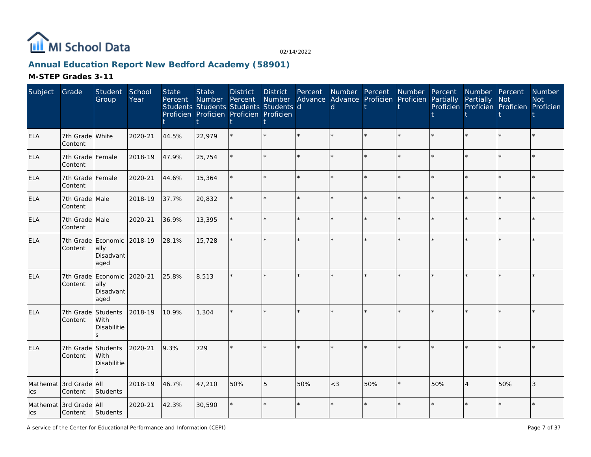

# **Annual Education Report New Bedford Academy (58901)**

| Subject    | Grade                             | Student<br>Group                                | School<br>Year | <b>State</b><br>Percent | <b>State</b><br>Number | <b>District</b><br>Percent<br>Students Students Students Students d<br>Proficien Proficien Proficien Proficien | District<br>Number | Percent<br>Advance | Number Percent<br><sub>d</sub> | Advance Proficien | Number<br>Proficien | Percent<br>Partially | Number Percent<br>Partially | Not<br>Proficien Proficien Proficien Proficien | Number<br><b>Not</b> |
|------------|-----------------------------------|-------------------------------------------------|----------------|-------------------------|------------------------|----------------------------------------------------------------------------------------------------------------|--------------------|--------------------|--------------------------------|-------------------|---------------------|----------------------|-----------------------------|------------------------------------------------|----------------------|
| ELA        | 7th Grade White<br>Content        |                                                 | 2020-21        | 44.5%                   | 22,979                 |                                                                                                                |                    | $\star$            |                                |                   | $\star$             |                      |                             | $\star$                                        |                      |
| ELA        | 7th Grade Female<br>Content       |                                                 | 2018-19        | 47.9%                   | 25,754                 |                                                                                                                |                    |                    |                                |                   | $\star$             |                      | $\star$                     | $\star$                                        |                      |
| <b>ELA</b> | 7th Grade Female<br>Content       |                                                 | 2020-21        | 44.6%                   | 15,364                 |                                                                                                                |                    |                    |                                |                   |                     |                      | $\star$                     | $\star$                                        |                      |
| ELA        | 7th Grade Male<br>Content         |                                                 | 2018-19        | 37.7%                   | 20,832                 |                                                                                                                |                    | $\star$            |                                |                   | $\star$             |                      | ¥.                          | $\star$                                        |                      |
| <b>ELA</b> | 7th Grade Male<br>Content         |                                                 | 2020-21        | 36.9%                   | 13,395                 |                                                                                                                |                    |                    |                                |                   | $\star$             |                      |                             | $\star$                                        |                      |
| <b>ELA</b> | Content                           | 7th Grade Economic<br>ally<br>Disadvant<br>aged | 2018-19        | 28.1%                   | 15,728                 |                                                                                                                |                    |                    |                                |                   | $\star$             |                      | $\star$                     | $\star$                                        |                      |
| <b>ELA</b> | 7th Grade<br>Content              | Economic<br>ally<br>Disadvant<br>aged           | 2020-21        | 25.8%                   | 8,513                  |                                                                                                                |                    |                    |                                |                   | $\star$             |                      |                             | $\star$                                        |                      |
| <b>ELA</b> | 7th Grade<br>Content              | Students<br>With<br>Disabilitie<br>$\mathbf{z}$ | 2018-19        | 10.9%                   | 1,304                  |                                                                                                                |                    |                    |                                |                   |                     |                      |                             |                                                |                      |
| ELA        | 7th Grade<br>Content              | Students<br>With<br>Disabilitie<br>$\mathbf{z}$ | 2020-21        | 9.3%                    | 729                    |                                                                                                                |                    |                    |                                |                   |                     |                      |                             | $\star$                                        |                      |
| ics        | Mathemat 3rd Grade All<br>Content | Students                                        | 2018-19        | 46.7%                   | 47,210                 | 50%                                                                                                            | 5                  | 50%                | $<$ 3                          | 50%               | $\star$             | 50%                  | $\overline{4}$              | 50%                                            | 3                    |
| lics       | Mathemat 3rd Grade All<br>Content | Students                                        | 2020-21        | 42.3%                   | 30,590                 |                                                                                                                |                    |                    |                                |                   |                     |                      |                             | $\star$                                        |                      |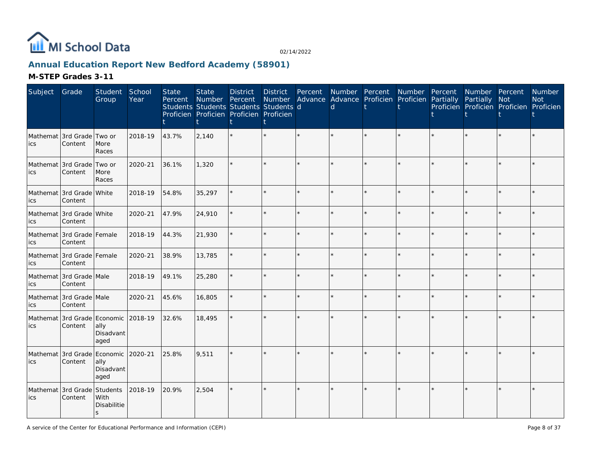

# **Annual Education Report New Bedford Academy (58901)**

| Subject                                     | Grade                                          | Student<br>Group                    | School<br>Year | <b>State</b><br>Percent | <b>State</b><br>Number Percent<br>Students Students Students Students d<br>Proficien Proficien Proficien Proficien | <b>District</b> | District | Percent | <sub>d</sub> | Number Percent Number Percent Number Percent<br>Number Advance Advance Proficien Proficien Partially | Partially Not<br>Proficien Proficien Proficien Proficien |    | Number<br><b>Not</b> |
|---------------------------------------------|------------------------------------------------|-------------------------------------|----------------|-------------------------|--------------------------------------------------------------------------------------------------------------------|-----------------|----------|---------|--------------|------------------------------------------------------------------------------------------------------|----------------------------------------------------------|----|----------------------|
| ics                                         | Mathemat 3rd Grade Two or<br>Content           | More<br>Races                       | 2018-19        | 43.7%                   | 2,140                                                                                                              |                 |          |         |              |                                                                                                      |                                                          |    |                      |
| Mathemat 3rd Grade Two or<br>lics           | Content                                        | More<br>Races                       | 2020-21        | 36.1%                   | 1,320                                                                                                              |                 |          |         |              |                                                                                                      |                                                          |    |                      |
| Mathemat 3rd Grade White<br>lics            | Content                                        |                                     | 2018-19        | 54.8%                   | 35,297                                                                                                             |                 |          |         |              |                                                                                                      |                                                          |    |                      |
| Mathemat 3rd Grade White<br>ics             | Content                                        |                                     | 2020-21        | 47.9%                   | 24,910                                                                                                             |                 |          | $\star$ |              | $\star$                                                                                              |                                                          | ÷. |                      |
| ics                                         | Mathemat 3rd Grade Female<br>Content           |                                     | 2018-19        | 44.3%                   | 21,930                                                                                                             |                 |          |         |              |                                                                                                      |                                                          |    |                      |
| ics                                         | Mathemat 3rd Grade Female<br>Content           |                                     | 2020-21        | 38.9%                   | 13,785                                                                                                             |                 |          | $\star$ |              | $\star$                                                                                              |                                                          |    |                      |
| Mathemat 3rd Grade Male<br><b>ics</b>       | Content                                        |                                     | 2018-19        | 49.1%                   | 25,280                                                                                                             |                 |          |         |              |                                                                                                      |                                                          |    |                      |
| ics                                         | Mathemat 3rd Grade Male<br>Content             |                                     | 2020-21        | 45.6%                   | 16,805                                                                                                             |                 |          | $\star$ |              | ÷                                                                                                    |                                                          |    |                      |
| ics                                         | Mathemat 3rd Grade Economic 2018-19<br>Content | ally<br>Disadvant<br>aged           |                | 32.6%                   | 18,495                                                                                                             |                 |          |         |              |                                                                                                      |                                                          |    |                      |
| Mathemat 3rd Grade Economic 2020-21<br>lics | Content                                        | ally<br>Disadvant<br>aged           |                | 25.8%                   | 9,511                                                                                                              |                 |          |         |              |                                                                                                      |                                                          |    |                      |
| Mathemat 3rd Grade Students<br>lics         | Content                                        | With<br>Disabilitie<br>$\mathsf{s}$ | 2018-19        | 20.9%                   | 2,504                                                                                                              |                 |          |         |              |                                                                                                      |                                                          |    |                      |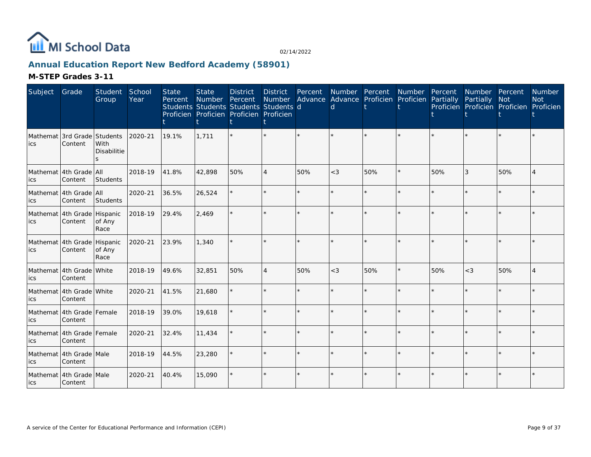

# **Annual Education Report New Bedford Academy (58901)**

| Subject         | Grade                                  | Student<br>Group                     | School<br>Year | <b>State</b><br>Percent | <b>State</b><br>Number<br>Students Students Students Students d<br>Proficien Proficien Proficien Proficien | <b>District</b><br>Percent | <b>District</b><br>Number | Percent | Number Percent<br>Advance Advance Proficien Proficien Partially<br>d |     | Number Percent |     | Number Percent<br>Partially<br>Proficien Proficien Proficien Proficien | <b>Not</b> | Number<br><b>Not</b> |
|-----------------|----------------------------------------|--------------------------------------|----------------|-------------------------|------------------------------------------------------------------------------------------------------------|----------------------------|---------------------------|---------|----------------------------------------------------------------------|-----|----------------|-----|------------------------------------------------------------------------|------------|----------------------|
| Mathemat<br>ics | 3rd Grade<br>Content                   | Students<br>With<br>Disabilitie<br>5 | 2020-21        | 19.1%                   | 1,711                                                                                                      |                            |                           |         |                                                                      |     |                |     |                                                                        |            |                      |
| ics             | Mathemat 4th Grade   All<br>Content    | Students                             | 2018-19        | 41.8%                   | 42,898                                                                                                     | 50%                        | $\overline{4}$            | 50%     | $<$ 3                                                                | 50% | $\star$        | 50% | 3                                                                      | 50%        |                      |
| ics             | Mathemat 4th Grade All<br>Content      | Students                             | 2020-21        | 36.5%                   | 26,524                                                                                                     |                            |                           | $\star$ | ÷                                                                    |     | $\star$        | ÷   |                                                                        | $\star$    |                      |
| ics             | Mathemat 4th Grade Hispanic<br>Content | of Any<br>Race                       | 2018-19        | 29.4%                   | 2,469                                                                                                      |                            |                           |         |                                                                      |     |                |     |                                                                        |            |                      |
| ics             | Mathemat 4th Grade Hispanic<br>Content | of Any<br>Race                       | 2020-21        | 23.9%                   | 1,340                                                                                                      |                            |                           |         |                                                                      |     |                |     |                                                                        |            |                      |
| lics            | Mathemat 4th Grade White<br>Content    |                                      | 2018-19        | 49.6%                   | 32,851                                                                                                     | 50%                        | $\overline{4}$            | 50%     | $<$ 3                                                                | 50% | $\star$        | 50% | $<$ 3                                                                  | 50%        |                      |
| ics             | Mathemat 4th Grade White<br>Content    |                                      | 2020-21        | 41.5%                   | 21,680                                                                                                     |                            |                           |         |                                                                      |     | $\star$        |     |                                                                        | $\star$    |                      |
| ics             | Mathemat 4th Grade Female<br>Content   |                                      | 2018-19        | 39.0%                   | 19,618                                                                                                     |                            |                           |         |                                                                      |     | $\star$        |     |                                                                        | ÷          |                      |
| ics             | Mathemat 4th Grade Female<br>Content   |                                      | 2020-21        | 32.4%                   | 11,434                                                                                                     |                            |                           | $\star$ |                                                                      |     | $\star$        |     |                                                                        | $\star$    |                      |
| ics             | Mathemat 4th Grade Male<br>Content     |                                      | 2018-19        | 44.5%                   | 23,280                                                                                                     |                            | ÷                         | $\star$ | ÷                                                                    |     | $\star$        | ÷   |                                                                        | $\star$    |                      |
| lics            | Mathemat 4th Grade Male<br>Content     |                                      | 2020-21        | 40.4%                   | 15,090                                                                                                     |                            |                           |         |                                                                      |     |                |     |                                                                        |            |                      |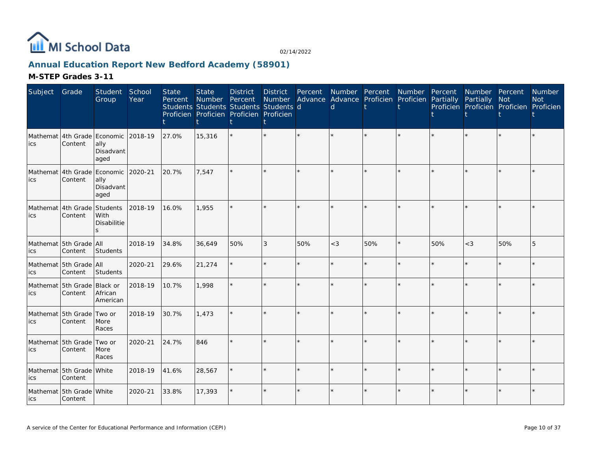

# **Annual Education Report New Bedford Academy (58901)**

| Subject | Grade                                          | Student<br>Group                     | School<br>Year | <b>State</b><br>Percent | <b>State</b><br>Number<br>Students Students Students Students d<br>Proficien Proficien Proficien Proficien | <b>District</b><br>Percent | <b>District</b><br>Number | Percent | Number Percent<br>d | Advance Advance Proficien Proficien | Number  | Percent<br>Partially | Number Percent<br>Partially<br>Proficien Proficien Proficien Proficien | Not     | Number<br><b>Not</b> |
|---------|------------------------------------------------|--------------------------------------|----------------|-------------------------|------------------------------------------------------------------------------------------------------------|----------------------------|---------------------------|---------|---------------------|-------------------------------------|---------|----------------------|------------------------------------------------------------------------|---------|----------------------|
| lics    | Mathemat 4th Grade Economic<br>Content         | ally<br>Disadvant<br>aged            | 2018-19        | 27.0%                   | 15,316                                                                                                     |                            | $\star$                   |         |                     |                                     |         |                      |                                                                        |         |                      |
| lics    | Mathemat 4th Grade Economic 2020-21<br>Content | ally<br>Disadvant<br>aged            |                | 20.7%                   | 7.547                                                                                                      |                            | $\star$                   |         |                     | $\star$                             |         |                      | $\star$                                                                | $\star$ |                      |
| lics    | Mathemat 4th Grade Students<br>Content         | With<br><b>Disabilitie</b><br>$\leq$ | 2018-19        | 16.0%                   | 1,955                                                                                                      |                            | $\star$                   |         |                     | $\star$                             |         |                      | $\star$                                                                | $\star$ |                      |
| lics    | Mathemat 5th Grade All<br>Content              | Students                             | 2018-19        | 34.8%                   | 36,649                                                                                                     | 50%                        | 3                         | 50%     | $<$ 3               | 50%                                 | $\star$ | 50%                  | $<\!3$                                                                 | 50%     | 5                    |
| lics    | Mathemat 5th Grade All<br>Content              | Students                             | 2020-21        | 29.6%                   | 21,274                                                                                                     |                            | $\star$                   |         |                     | $\star$                             | ÷.      |                      | $\star$                                                                | ÷       |                      |
| lics    | Mathemat 5th Grade Black or<br>Content         | African<br>American                  | 2018-19        | 10.7%                   | 1,998                                                                                                      |                            | $\star$                   | $\star$ |                     | $\star$                             | $\star$ |                      | ÷.                                                                     | $\star$ |                      |
| lics    | Mathemat 5th Grade Two or<br>Content           | More<br>Races                        | 2018-19        | 30.7%                   | 1,473                                                                                                      |                            |                           |         |                     |                                     |         |                      |                                                                        |         |                      |
| ics     | Mathemat 5th Grade<br>Content                  | Two or<br>More<br>Races              | 2020-21        | 24.7%                   | 846                                                                                                        |                            | $\star$                   |         |                     | $\star$                             |         |                      | $\star$                                                                |         |                      |
| lics    | Mathemat 5th Grade White<br>Content            |                                      | 2018-19        | 41.6%                   | 28,567                                                                                                     |                            | ÷.                        |         |                     | ÷.                                  | ÷.      |                      | ÷.                                                                     | ÷.      |                      |
| lics    | Mathemat 5th Grade White<br>Content            |                                      | 2020-21        | 33.8%                   | 17,393                                                                                                     |                            | $\star$                   |         |                     | $\star$                             |         |                      | $\star$                                                                |         |                      |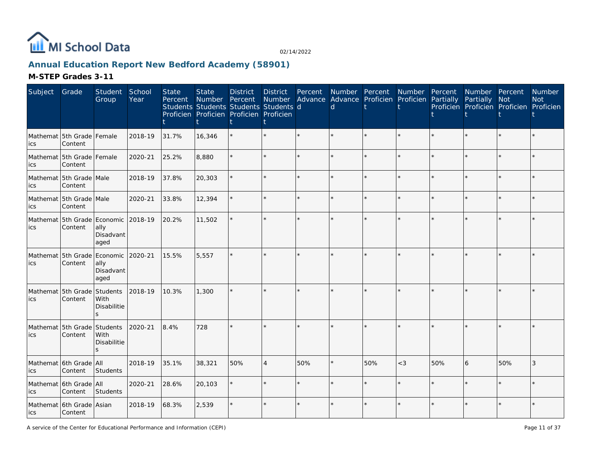

# **Annual Education Report New Bedford Academy (58901)**

### **M-STEP Grades 3-11**

| Subject | Grade                                  | Student<br>Group                                | School<br>Year | <b>State</b><br>Percent | <b>State</b><br>Number<br>Students Students Students Students d<br>Proficien Proficien Proficien Proficien | <b>District</b><br>Percent | <b>District</b> | Percent | d | Number Advance Advance Proficien Proficien Partially |         |     | Number Percent Number Percent Number Percent<br>Partially Not<br>Proficien Proficien Proficien Proficien |         | Number<br><b>Not</b> |
|---------|----------------------------------------|-------------------------------------------------|----------------|-------------------------|------------------------------------------------------------------------------------------------------------|----------------------------|-----------------|---------|---|------------------------------------------------------|---------|-----|----------------------------------------------------------------------------------------------------------|---------|----------------------|
| ics     | Mathemat 5th Grade Female<br>Content   |                                                 | 2018-19        | 31.7%                   | 16,346                                                                                                     |                            |                 |         |   |                                                      |         |     |                                                                                                          |         |                      |
| ics     | Mathemat 5th Grade Female<br>Content   |                                                 | 2020-21        | 25.2%                   | 8,880                                                                                                      |                            |                 |         |   |                                                      | ÷.      |     |                                                                                                          |         |                      |
| ics     | Mathemat 5th Grade Male<br>Content     |                                                 | 2018-19        | 37.8%                   | 20,303                                                                                                     |                            |                 |         |   |                                                      | ÷       |     |                                                                                                          | ÷       |                      |
| ics     | Mathemat 5th Grade Male<br>Content     |                                                 | 2020-21        | 33.8%                   | 12,394                                                                                                     |                            |                 | ÷.      |   |                                                      | ÷       |     |                                                                                                          | ÷       |                      |
| ics     | Mathemat 5th Grade Economic<br>Content | ally<br>Disadvant<br>aged                       | 2018-19        | 20.2%                   | 11,502                                                                                                     |                            |                 |         |   |                                                      |         |     |                                                                                                          |         |                      |
| ics     | Mathemat 55th Grade<br>Content         | Economic<br>ally<br>Disadvant<br>aged           | 2020-21        | 15.5%                   | 5,557                                                                                                      |                            |                 |         |   |                                                      |         |     |                                                                                                          |         |                      |
| ics     | Mathemat 5th Grade<br>Content          | Students<br>With<br>Disabilitie<br>$\mathbf{z}$ | 2018-19        | 10.3%                   | 1,300                                                                                                      |                            |                 |         |   |                                                      |         |     |                                                                                                          |         |                      |
| ics     | Mathemat 5th Grade<br>Content          | Students<br>With<br>Disabilitie                 | 2020-21        | 8.4%                    | 728                                                                                                        |                            |                 |         |   |                                                      |         |     |                                                                                                          |         |                      |
| ics     | Mathemat 6th Grade All<br>Content      | Students                                        | 2018-19        | 35.1%                   | 38,321                                                                                                     | 50%                        | $\overline{4}$  | 50%     |   | 50%                                                  | $<$ 3   | 50% | 6                                                                                                        | 50%     | 3                    |
| ics     | Mathemat 6th Grade All<br>Content      | Students                                        | 2020-21        | 28.6%                   | 20,103                                                                                                     |                            |                 |         |   |                                                      | $\star$ |     |                                                                                                          | $\star$ |                      |
| lics    | Mathemat 6th Grade Asian<br>Content    |                                                 | 2018-19        | 68.3%                   | 2,539                                                                                                      |                            |                 |         |   |                                                      |         |     |                                                                                                          |         |                      |

A service of the Center for Educational Performance and Information (CEPI)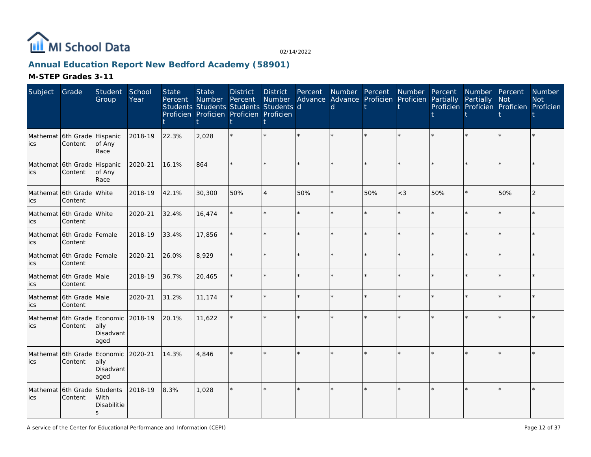

# **Annual Education Report New Bedford Academy (58901)**

| Subject                             | Grade                                  | Student<br>Group                    | School<br>Year | <b>State</b><br>Percent | <b>State</b><br>Number Percent<br>Students Students Students Students d<br>Proficien Proficien Proficien Proficien | <b>District</b> | <b>District</b><br>Number Advance Advance Proficien Proficien Partially | Percent | d |     | Number Percent Number Percent |     | Number Percent<br>Partially Not | Proficien Proficien Proficien Proficien | Number<br><b>Not</b> |
|-------------------------------------|----------------------------------------|-------------------------------------|----------------|-------------------------|--------------------------------------------------------------------------------------------------------------------|-----------------|-------------------------------------------------------------------------|---------|---|-----|-------------------------------|-----|---------------------------------|-----------------------------------------|----------------------|
| ics                                 | Mathemat 6th Grade Hispanic<br>Content | of Any<br>Race                      | 2018-19        | 22.3%                   | 2,028                                                                                                              |                 |                                                                         |         |   |     |                               |     |                                 |                                         |                      |
| Mathemat 6th Grade Hispanic<br>lics | Content                                | of Any<br>Race                      | 2020-21        | 16.1%                   | 864                                                                                                                |                 |                                                                         |         |   |     |                               |     |                                 |                                         |                      |
| lics                                | Mathemat 6th Grade White<br>Content    |                                     | 2018-19        | 42.1%                   | 30,300                                                                                                             | 50%             | $\overline{4}$                                                          | 50%     |   | 50% | $<$ 3                         | 50% |                                 | 50%                                     | $\overline{2}$       |
| ics                                 | Mathemat 6th Grade White<br>Content    |                                     | 2020-21        | 32.4%                   | 16,474                                                                                                             |                 |                                                                         | ÷.      |   |     | $\star$                       |     |                                 | ÷.                                      |                      |
| ics                                 | Mathemat 6th Grade Female<br>Content   |                                     | 2018-19        | 33.4%                   | 17,856                                                                                                             |                 |                                                                         |         |   |     |                               |     |                                 |                                         |                      |
| ics                                 | Mathemat 6th Grade Female<br>Content   |                                     | 2020-21        | 26.0%                   | 8,929                                                                                                              |                 |                                                                         | $\star$ |   |     | $\star$                       |     |                                 |                                         |                      |
| <b>ics</b>                          | Mathemat 6th Grade Male<br>Content     |                                     | 2018-19        | 36.7%                   | 20,465                                                                                                             |                 |                                                                         |         |   |     | ÷                             |     |                                 |                                         |                      |
| ics                                 | Mathemat 6th Grade Male<br>Content     |                                     | 2020-21        | 31.2%                   | 11,174                                                                                                             |                 |                                                                         | $\star$ |   |     | $\star$                       |     |                                 | ÷                                       |                      |
| ics                                 | Mathemat 6th Grade Economic<br>Content | ally<br>Disadvant<br>aged           | 2018-19        | 20.1%                   | 11,622                                                                                                             |                 |                                                                         |         |   |     |                               |     |                                 |                                         |                      |
| Mathemat 6th Grade Economic<br>lics | Content                                | ally<br>Disadvant<br>aged           | 2020-21        | 14.3%                   | 4,846                                                                                                              |                 |                                                                         |         |   |     |                               |     |                                 |                                         |                      |
| Mathemat 6th Grade Students<br>lics | Content                                | With<br>Disabilitie<br>$\mathsf{s}$ | 2018-19        | 8.3%                    | 1,028                                                                                                              |                 |                                                                         | ÷       |   |     |                               |     |                                 |                                         |                      |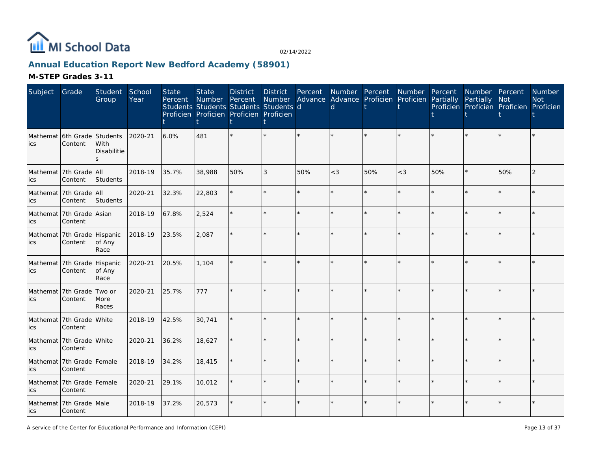

# **Annual Education Report New Bedford Academy (58901)**

| Subject    | Grade                                  | Student<br>Group    | School<br>Year | <b>State</b><br>Percent | <b>State</b><br>Number Percent<br>Students Students Students Students d<br>Proficien Proficien Proficien Proficien | <b>District</b> | <b>District</b><br>Number | Percent | Number Percent Number Percent<br>Advance Advance Proficien Proficien Partially<br>d |     |         |     | Number Percent<br>Partially<br>Proficien Proficien Proficien Proficien | <b>Not</b> | Number<br><b>Not</b> |
|------------|----------------------------------------|---------------------|----------------|-------------------------|--------------------------------------------------------------------------------------------------------------------|-----------------|---------------------------|---------|-------------------------------------------------------------------------------------|-----|---------|-----|------------------------------------------------------------------------|------------|----------------------|
| ics        | Mathemat 6th Grade Students<br>Content | With<br>Disabilitie | 2020-21        | 6.0%                    | 481                                                                                                                |                 |                           |         |                                                                                     |     |         |     |                                                                        |            |                      |
| ics        | Mathemat 7th Grade All<br>Content      | Students            | 2018-19        | 35.7%                   | 38,988                                                                                                             | 50%             | 3                         | 50%     | $<$ 3                                                                               | 50% | $<$ 3   | 50% |                                                                        | 50%        |                      |
| lics       | Mathemat 7th Grade All<br>Content      | Students            | 2020-21        | 32.3%                   | 22,803                                                                                                             |                 |                           | ¥.      |                                                                                     |     | $\star$ |     |                                                                        |            |                      |
| <b>ics</b> | Mathemat 7th Grade Asian<br>Content    |                     | 2018-19        | 67.8%                   | 2,524                                                                                                              |                 |                           | ÷.      |                                                                                     |     | ÷.      |     |                                                                        | ÷.         |                      |
| lics       | Mathemat 7th Grade Hispanic<br>Content | of Any<br>Race      | 2018-19        | 23.5%                   | 2,087                                                                                                              |                 |                           | $\star$ |                                                                                     |     | $\star$ |     |                                                                        |            |                      |
| lics       | Mathemat 7th Grade Hispanic<br>Content | of Any<br>Race      | 2020-21        | 20.5%                   | 1,104                                                                                                              |                 |                           |         |                                                                                     |     |         |     |                                                                        |            |                      |
| ics        | Mathemat 7th Grade Two or<br>Content   | More<br>Races       | 2020-21        | 25.7%                   | 777                                                                                                                |                 |                           |         |                                                                                     |     |         |     |                                                                        |            |                      |
| lics       | Mathemat 7th Grade White<br>Content    |                     | 2018-19        | 42.5%                   | 30,741                                                                                                             |                 |                           |         |                                                                                     |     |         |     |                                                                        |            |                      |
| ics        | Mathemat 7th Grade White<br>Content    |                     | 2020-21        | 36.2%                   | 18,627                                                                                                             |                 |                           |         |                                                                                     |     | ÷       |     |                                                                        |            |                      |
| lics       | Mathemat 7th Grade Female<br>Content   |                     | 2018-19        | 34.2%                   | 18,415                                                                                                             |                 |                           |         |                                                                                     |     |         |     |                                                                        |            |                      |
| ics        | Mathemat 7th Grade Female<br>Content   |                     | 2020-21        | 29.1%                   | 10,012                                                                                                             |                 |                           |         |                                                                                     |     |         |     |                                                                        |            |                      |
| ics        | Mathemat 7th Grade Male<br>Content     |                     | 2018-19        | 37.2%                   | 20,573                                                                                                             |                 |                           |         |                                                                                     |     |         |     |                                                                        |            |                      |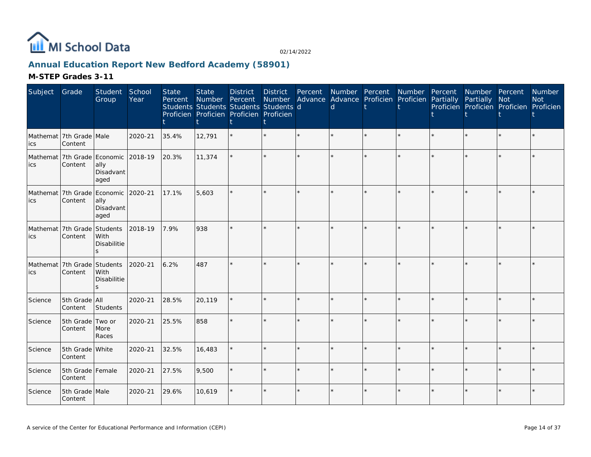

# **Annual Education Report New Bedford Academy (58901)**

| Subject | Grade                                          | Student<br>Group                                 | School<br>Year | <b>State</b><br>Percent | <b>State</b><br>Number<br>Students Students Students Students d<br>Proficien Proficien Proficien Proficien | <b>District</b><br>Percent | <b>District</b><br>Number | Percent<br>Advance | Number Percent<br><sub>d</sub> | Advance Proficien Proficien | Number  | Percent<br>Partially | Number Percent<br>Partially | Not<br>Proficien Proficien Proficien Proficien | Number<br><b>Not</b> |
|---------|------------------------------------------------|--------------------------------------------------|----------------|-------------------------|------------------------------------------------------------------------------------------------------------|----------------------------|---------------------------|--------------------|--------------------------------|-----------------------------|---------|----------------------|-----------------------------|------------------------------------------------|----------------------|
| ics     | Mathemat 7th Grade Male<br>Content             |                                                  | 2020-21        | 35.4%                   | 12,791                                                                                                     |                            |                           |                    |                                |                             |         |                      |                             |                                                |                      |
| lics    | Mathemat 7th Grade Economic 2018-19<br>Content | ally<br>Disadvant<br>aged                        |                | 20.3%                   | 11,374                                                                                                     |                            |                           |                    |                                |                             |         |                      |                             |                                                |                      |
| lics    | Mathemat 7th Grade Economic<br>Content         | ally<br>Disadvant<br>aged                        | 2020-21        | 17.1%                   | 5,603                                                                                                      |                            |                           |                    |                                |                             | $\star$ |                      | $\star$                     | $\star$                                        |                      |
| ics     | Mathemat 7th Grade<br>Content                  | Students<br>With<br>Disabilitie<br>ς             | 2018-19        | 7.9%                    | 938                                                                                                        |                            |                           |                    |                                |                             |         |                      |                             |                                                |                      |
| lics    | Mathemat 7th Grade<br>Content                  | Students<br>With<br>Disabilitie<br>$\mathcal{S}$ | 2020-21        | 6.2%                    | 487                                                                                                        |                            |                           |                    |                                |                             |         |                      |                             |                                                |                      |
| Science | 5th Grade All<br>Content                       | Students                                         | 2020-21        | 28.5%                   | 20,119                                                                                                     |                            |                           | $\star$            |                                | ÷.                          | $\star$ |                      | $\star$                     | $\star$                                        |                      |
| Science | 5th Grade Two or<br>Content                    | More<br>Races                                    | 2020-21        | 25.5%                   | 858                                                                                                        |                            |                           |                    |                                |                             |         |                      |                             | $\star$                                        |                      |
| Science | 5th Grade White<br>Content                     |                                                  | 2020-21        | 32.5%                   | 16,483                                                                                                     |                            |                           | $\Phi$             |                                | ÷.                          | $\star$ |                      | $\star$                     | $\star$                                        |                      |
| Science | 5th Grade Female<br>Content                    |                                                  | 2020-21        | 27.5%                   | 9,500                                                                                                      |                            |                           |                    |                                |                             |         |                      | ÷.                          | ÷                                              |                      |
| Science | 5th Grade Male<br>Content                      |                                                  | 2020-21        | 29.6%                   | 10,619                                                                                                     |                            |                           |                    |                                |                             |         |                      | $\star$                     |                                                |                      |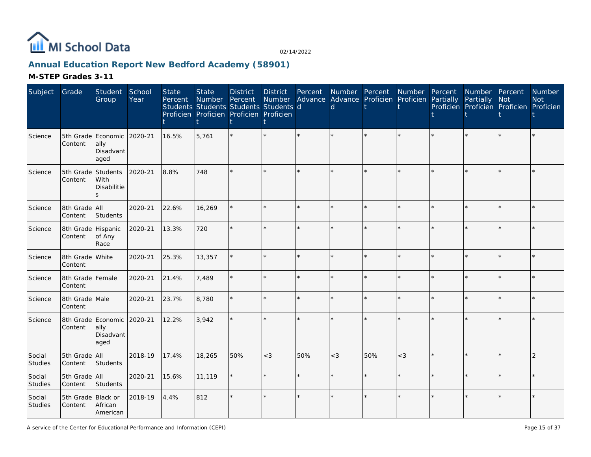

# **Annual Education Report New Bedford Academy (58901)**

| Subject                  | Grade                         | Student<br>Group                                        | School<br>Year | <b>State</b><br>Percent | <b>State</b><br>Number | <b>District</b><br>Percent<br>Students Students Students Students d<br>Proficien Proficien Proficien Proficien | <b>District</b> | Percent | <sub>d</sub> | Number Percent Number<br>Number Advance Advance Proficien Proficien Partially |         | Percent | Number Percent<br>Partially Not | Proficien Proficien Proficien Proficien | Number<br><b>Not</b> |
|--------------------------|-------------------------------|---------------------------------------------------------|----------------|-------------------------|------------------------|----------------------------------------------------------------------------------------------------------------|-----------------|---------|--------------|-------------------------------------------------------------------------------|---------|---------|---------------------------------|-----------------------------------------|----------------------|
| Science                  | Content                       | 5th Grade Economic<br>ally<br>Disadvant<br>aged         | 2020-21        | 16.5%                   | 5.761                  |                                                                                                                |                 |         |              |                                                                               |         |         |                                 |                                         |                      |
| Science                  | 5th Grade Students<br>Content | With<br>Disabilitie<br>$\mathbf{S}$                     | 2020-21        | 8.8%                    | 748                    |                                                                                                                |                 | $\star$ |              | ÷.                                                                            | ÷.      |         |                                 | ÷.                                      |                      |
| Science                  | 8th Grade All<br>Content      | Students                                                | 2020-21        | 22.6%                   | 16,269                 |                                                                                                                |                 |         |              | ÷.                                                                            | $\star$ |         |                                 | ÷                                       |                      |
| Science                  | 8th Grade Hispanic<br>Content | of Any<br>Race                                          | 2020-21        | 13.3%                   | 720                    |                                                                                                                |                 |         |              | $\star$                                                                       | $\star$ |         |                                 | $\star$                                 |                      |
| Science                  | 8th Grade White<br>Content    |                                                         | 2020-21        | 25.3%                   | 13,357                 |                                                                                                                |                 |         |              | $\star$                                                                       | $\star$ |         |                                 | $\star$                                 |                      |
| Science                  | 8th Grade Female<br>Content   |                                                         | 2020-21        | 21.4%                   | 7,489                  |                                                                                                                |                 |         |              | $\star$                                                                       | ÷.      |         |                                 | $\star$                                 |                      |
| Science                  | 8th Grade Male<br>Content     |                                                         | 2020-21        | 23.7%                   | 8,780                  |                                                                                                                |                 | ÷       |              | $\star$                                                                       | ÷.      |         | $\star$                         | $\star$                                 |                      |
| Science                  | Content                       | 8th Grade Economic 2020-21<br>ally<br>Disadvant<br>aged |                | 12.2%                   | 3,942                  |                                                                                                                |                 |         |              | $\star$                                                                       | ÷.      |         |                                 | ÷.                                      |                      |
| Social<br>Studies        | 5th Grade All<br>Content      | Students                                                | 2018-19        | 17.4%                   | 18,265                 | 50%                                                                                                            | $<$ 3           | 50%     | $<$ 3        | 50%                                                                           | $<$ 3   |         |                                 | $\star$                                 | $\overline{2}$       |
| Social<br><b>Studies</b> | 5th Grade All<br>Content      | Students                                                | 2020-21        | 15.6%                   | 11,119                 |                                                                                                                |                 | $\star$ |              | $\star$                                                                       | ÷.      |         |                                 | $\star$                                 |                      |
| Social<br>Studies        | 5th Grade Black or<br>Content | African<br>American                                     | 2018-19        | 4.4%                    | 812                    |                                                                                                                |                 |         |              | $\star$                                                                       | ÷.      |         | $\star$                         |                                         |                      |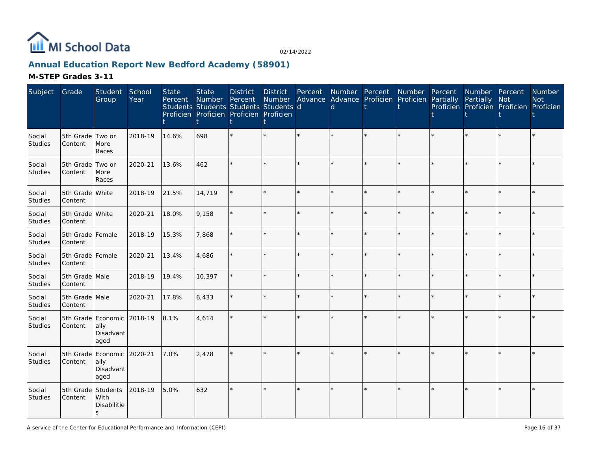

# **Annual Education Report New Bedford Academy (58901)**

| Subject                  | Grade                         | Student<br>Group                                        | School<br>Year | <b>State</b><br>Percent | <b>State</b><br>Number | <b>District</b><br>Percent<br>Students Students Students Students d<br>Proficien Proficien Proficien Proficien | <b>District</b> | Percent | d       | Number Percent Number<br>Number Advance Advance Proficien Proficien |         | Percent<br>Partially | Number Percent<br>Partially | Not<br>Proficien Proficien Proficien Proficien | Number<br><b>Not</b> |
|--------------------------|-------------------------------|---------------------------------------------------------|----------------|-------------------------|------------------------|----------------------------------------------------------------------------------------------------------------|-----------------|---------|---------|---------------------------------------------------------------------|---------|----------------------|-----------------------------|------------------------------------------------|----------------------|
| Social<br>Studies        | 5th Grade Two or<br>Content   | More<br>Races                                           | 2018-19        | 14.6%                   | 698                    |                                                                                                                |                 | $\star$ |         |                                                                     | $\star$ |                      |                             | $\star$                                        |                      |
| Social<br>Studies        | 5th Grade Two or<br>Content   | More<br>Races                                           | 2020-21        | 13.6%                   | 462                    |                                                                                                                | $\star$         | ÷.      |         | $\star$                                                             | $\star$ |                      | $\star$                     | $\star$                                        |                      |
| Social<br>Studies        | 5th Grade White<br>Content    |                                                         | 2018-19        | 21.5%                   | 14,719                 |                                                                                                                | $\star$         | $\star$ |         | $\star$                                                             | $\star$ |                      | $\star$                     | $\star$                                        |                      |
| Social<br>Studies        | 5th Grade White<br>Content    |                                                         | 2020-21        | 18.0%                   | 9,158                  |                                                                                                                | $\star$         | $\star$ | $\star$ | $\star$                                                             | $\star$ |                      | $\star$                     | $\star$                                        |                      |
| Social<br>Studies        | 5th Grade Female<br>Content   |                                                         | 2018-19        | 15.3%                   | 7,868                  |                                                                                                                | $\star$         | ÷.      |         | $\star$                                                             | $\star$ |                      | $\star$                     | $\star$                                        |                      |
| Social<br>Studies        | 5th Grade Female<br>Content   |                                                         | 2020-21        | 13.4%                   | 4,686                  |                                                                                                                | $\star$         | $\star$ |         | $\star$                                                             | $\star$ |                      | $\star$                     | $\star$                                        |                      |
| Social<br><b>Studies</b> | 5th Grade Male<br>Content     |                                                         | 2018-19        | 19.4%                   | 10,397                 |                                                                                                                | $\star$         | $\star$ |         | $\star$                                                             | $\star$ |                      | $\star$                     | $\star$                                        |                      |
| Social<br>Studies        | 5th Grade Male<br>Content     |                                                         | 2020-21        | 17.8%                   | 6,433                  |                                                                                                                | $\star$         | $\star$ |         | $\star$                                                             | $\star$ |                      | $\star$                     | $\star$                                        |                      |
| Social<br>Studies        | Content                       | 5th Grade Economic 2018-19<br>ally<br>Disadvant<br>aged |                | 8.1%                    | 4,614                  |                                                                                                                | $\star$         | ÷.      |         | $\star$                                                             | ÷.      |                      | $\star$                     | ÷.                                             |                      |
| Social<br>Studies        | Content                       | 5th Grade Economic 2020-21<br>ally<br>Disadvant<br>aged |                | 7.0%                    | 2,478                  |                                                                                                                | ÷.              |         |         | ÷.                                                                  | ÷.      |                      | ÷.                          |                                                |                      |
| Social<br>Studies        | 5th Grade Students<br>Content | With<br>Disabilitie<br>S                                | 2018-19        | 5.0%                    | 632                    |                                                                                                                | $\star$         | $\star$ |         | $\star$                                                             | ÷.      |                      | $\star$                     | $\star$                                        |                      |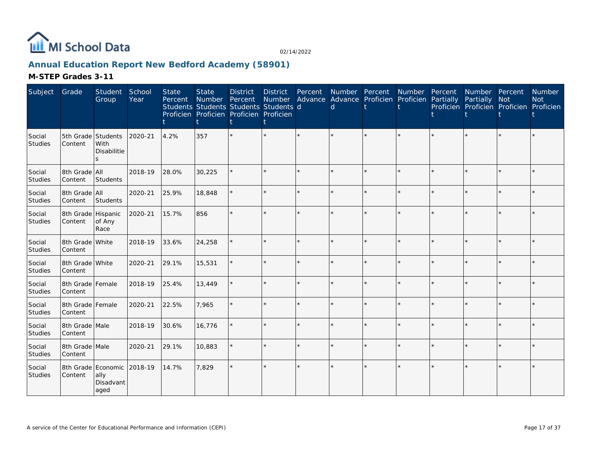

# **Annual Education Report New Bedford Academy (58901)**

| Subject           | Grade                         | Student<br>Group                | School<br>Year | <b>State</b><br>Percent | <b>State</b><br>Number Percent | <b>District</b><br>Students Students Students Students d<br>Proficien Proficien Proficien Proficien | <b>District</b> | Percent | Number Advance Advance Proficien Proficien<br>d | Number Percent Number |         | Percent<br>Partially | Number Percent<br>Partially<br>Proficien Proficien Proficien Proficien | <b>Not</b> | Number<br><b>Not</b> |
|-------------------|-------------------------------|---------------------------------|----------------|-------------------------|--------------------------------|-----------------------------------------------------------------------------------------------------|-----------------|---------|-------------------------------------------------|-----------------------|---------|----------------------|------------------------------------------------------------------------|------------|----------------------|
| Social<br>Studies | 5th Grade<br>Content          | Students<br>With<br>Disabilitie | 2020-21        | 4.2%                    | 357                            |                                                                                                     | $\star$         |         |                                                 |                       |         |                      |                                                                        |            |                      |
| Social<br>Studies | 8th Grade All<br>Content      | Students                        | 2018-19        | 28.0%                   | 30,225                         |                                                                                                     | $\star$         | $\star$ |                                                 | $\star$               | $\star$ |                      |                                                                        | $\star$    |                      |
| Social<br>Studies | 8th Grade All<br>Content      | Students                        | 2020-21        | 25.9%                   | 18,848                         |                                                                                                     | $\star$         | $\star$ | $\star$                                         | $\star$               | $\star$ |                      |                                                                        | $\star$    |                      |
| Social<br>Studies | 8th Grade Hispanic<br>Content | of Any<br>Race                  | 2020-21        | 15.7%                   | 856                            |                                                                                                     | $\star$         |         |                                                 | $\star$               | ÷.      |                      |                                                                        | ÷.         |                      |
| Social<br>Studies | 8th Grade White<br>Content    |                                 | 2018-19        | 33.6%                   | 24,258                         |                                                                                                     | $\star$         | $\star$ |                                                 | $\star$               | $\star$ |                      |                                                                        | $\star$    |                      |
| Social<br>Studies | 8th Grade White<br>Content    |                                 | 2020-21        | 29.1%                   | 15,531                         |                                                                                                     | $\star$         | $\star$ |                                                 | $\star$               | $\star$ |                      |                                                                        | $\star$    |                      |
| Social<br>Studies | 8th Grade Female<br>Content   |                                 | 2018-19        | 25.4%                   | 13,449                         |                                                                                                     | $\star$         | ÷.      |                                                 | $\star$               | ÷.      |                      |                                                                        | ÷.         |                      |
| Social<br>Studies | 8th Grade Female<br>Content   |                                 | 2020-21        | 22.5%                   | 7,965                          |                                                                                                     | $\star$         | ÷.      |                                                 | $\star$               | ÷.      |                      |                                                                        | ÷.         |                      |
| Social<br>Studies | 8th Grade Male<br>Content     |                                 | 2018-19        | 30.6%                   | 16,776                         |                                                                                                     | ÷.              |         |                                                 | $\star$               |         |                      |                                                                        |            |                      |
| Social<br>Studies | 8th Grade Male<br>Content     |                                 | 2020-21        | 29.1%                   | 10,883                         |                                                                                                     | ÷.              | $\star$ |                                                 | $\star$               | $\star$ |                      |                                                                        | $\star$    |                      |
| Social<br>Studies | 8th Grade Economic<br>Content | ally<br>Disadvant<br>aged       | 2018-19        | 14.7%                   | 7,829                          |                                                                                                     | $\star$         |         |                                                 | $\star$               |         |                      |                                                                        |            |                      |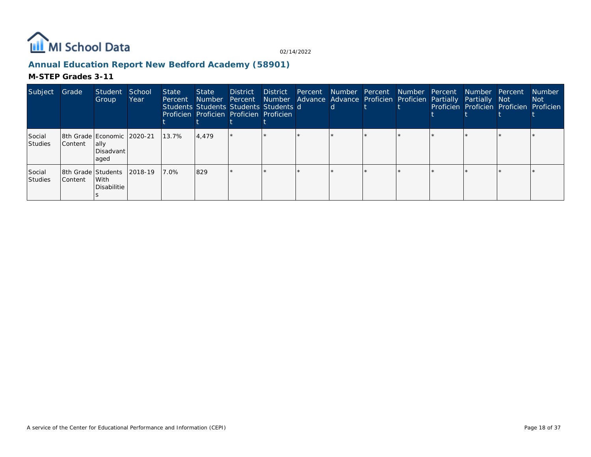

# **Annual Education Report New Bedford Academy (58901)**

| Subject                  | Grade          | Student<br>Group                                         | School<br>Year | <b>State</b><br>Percent | State<br>Number | <b>District</b><br>Students Students Students Students d<br>Proficien Proficien Proficien Proficien | District | <sub>d</sub> | Percent Number Percent Number Percent Number Percent<br>Percent Number Advance Advance Proficien Proficien Partially Partially Not | Proficien Proficien Proficien Proficien | <b>Number</b><br>Not |
|--------------------------|----------------|----------------------------------------------------------|----------------|-------------------------|-----------------|-----------------------------------------------------------------------------------------------------|----------|--------------|------------------------------------------------------------------------------------------------------------------------------------|-----------------------------------------|----------------------|
| Social<br><b>Studies</b> | <b>Content</b> | 8th Grade Economic 2020-21<br>lally<br>Disadvant<br>aged |                | 13.7%                   | 4.479           |                                                                                                     |          |              |                                                                                                                                    |                                         |                      |
| Social<br>Studies        | <b>Content</b> | 8th Grade Students<br>With<br>Disabilitie                | 2018-19        | 17.0%                   | 829             |                                                                                                     |          |              |                                                                                                                                    |                                         |                      |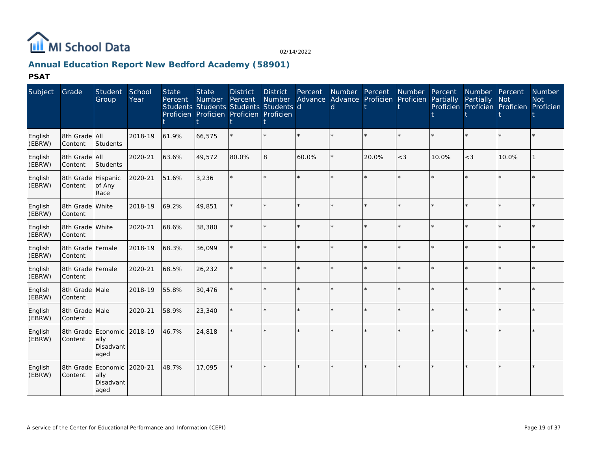

# **Annual Education Report New Bedford Academy (58901)**

**PSAT**

| Subject           | Grade                         | Student<br>Group                                | School<br>Year | <b>State</b><br>Percent | <b>State</b><br><b>Number</b><br>Students Students Students Students d<br>Proficien Proficien Proficien Proficien | <b>District</b><br>Percent | <b>District</b><br>Number | Percent | d       | Number Percent<br>Advance Advance Proficien Proficien | Number  | Percent<br>Partially | Number<br>Partially | Percent<br><b>Not</b><br>Proficien Proficien Proficien Proficien | <b>Number</b><br><b>Not</b> |
|-------------------|-------------------------------|-------------------------------------------------|----------------|-------------------------|-------------------------------------------------------------------------------------------------------------------|----------------------------|---------------------------|---------|---------|-------------------------------------------------------|---------|----------------------|---------------------|------------------------------------------------------------------|-----------------------------|
| English<br>(EBRW) | 8th Grade All<br>Content      | Students                                        | 2018-19        | 61.9%                   | 66,575                                                                                                            |                            |                           | $\star$ | $\star$ | $\star$                                               | $\star$ | $\star$              | $\star$             | $\star$                                                          |                             |
| English<br>(EBRW) | 8th Grade All<br>Content      | Students                                        | 2020-21        | 63.6%                   | 49,572                                                                                                            | 80.0%                      | 8                         | 60.0%   |         | 20.0%                                                 | $<$ 3   | 10.0%                | $<\!3$              | 10.0%                                                            |                             |
| English<br>(EBRW) | 8th Grade Hispanic<br>Content | of Any<br>Race                                  | 2020-21        | 51.6%                   | 3,236                                                                                                             |                            |                           |         |         |                                                       | $\star$ |                      | $\star$             | $\star$                                                          |                             |
| English<br>(EBRW) | 8th Grade White<br>Content    |                                                 | 2018-19        | 69.2%                   | 49,851                                                                                                            |                            |                           | ÷       |         |                                                       | ÷       |                      | ×.                  | $\star$                                                          |                             |
| English<br>(EBRW) | 8th Grade White<br>Content    |                                                 | 2020-21        | 68.6%                   | 38,380                                                                                                            |                            |                           |         |         |                                                       | $\star$ |                      | $\star$             | $\star$                                                          |                             |
| English<br>(EBRW) | 8th Grade Female<br>Content   |                                                 | 2018-19        | 68.3%                   | 36,099                                                                                                            |                            |                           | $\star$ |         |                                                       | $\star$ |                      | $\star$             | $\star$                                                          |                             |
| English<br>(EBRW) | 8th Grade Female<br>Content   |                                                 | 2020-21        | 68.5%                   | 26,232                                                                                                            |                            |                           | $\Phi$  |         |                                                       | $\star$ |                      | ×.                  | $\star$                                                          |                             |
| English<br>(EBRW) | 8th Grade Male<br>Content     |                                                 | 2018-19        | 55.8%                   | 30,476                                                                                                            |                            |                           | $\star$ |         |                                                       | $\star$ |                      | $\star$             | $\star$                                                          |                             |
| English<br>(EBRW) | 8th Grade Male<br>Content     |                                                 | 2020-21        | 58.9%                   | 23,340                                                                                                            |                            |                           |         |         |                                                       | $\star$ |                      |                     | $\star$                                                          |                             |
| English<br>(EBRW) | Content                       | 8th Grade Economic<br>ally<br>Disadvant<br>aged | 2018-19        | 46.7%                   | 24,818                                                                                                            |                            |                           |         |         |                                                       |         |                      |                     | $\star$                                                          |                             |
| English<br>(EBRW) | 8th Grade<br>Content          | Economic<br>ally<br>Disadvant<br>aged           | 2020-21        | 48.7%                   | 17,095                                                                                                            |                            |                           |         |         |                                                       | $\star$ |                      | ×.                  | $\star$                                                          |                             |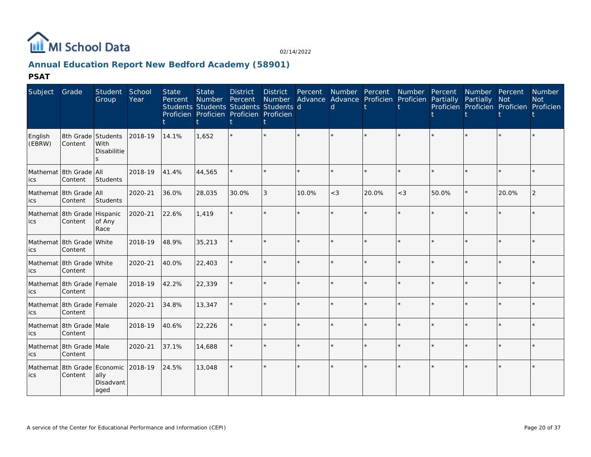

# **Annual Education Report New Bedford Academy (58901)**

**PSAT**

| Subject           | Grade                                  | <b>Student</b><br>Group                                          | School<br>Year | <b>State</b><br>Percent | <b>State</b><br>Number | <b>District</b><br>Percent<br>Students Students Students Students d<br>Proficien Proficien Proficien Proficien | District<br>Number |         | d     | Percent Number Percent Number<br>Advance Advance Proficien Proficien Partially |         | Percent | Number Percent<br>Partially<br>Proficien Proficien Proficien Proficien | <b>Not</b> | <b>Number</b><br><b>Not</b> |
|-------------------|----------------------------------------|------------------------------------------------------------------|----------------|-------------------------|------------------------|----------------------------------------------------------------------------------------------------------------|--------------------|---------|-------|--------------------------------------------------------------------------------|---------|---------|------------------------------------------------------------------------|------------|-----------------------------|
| English<br>(EBRW) | 8th Grade Students<br>Content          | With<br><b>Disabilitie</b><br>S                                  | 2018-19        | 14.1%                   | 1,652                  |                                                                                                                |                    | $\star$ |       | $\star$                                                                        | $\star$ |         |                                                                        | $\star$    |                             |
| ics               | Mathemat 8th Grade All<br>Content      | Students                                                         | 2018-19        | 41.4%                   | 44,565                 |                                                                                                                |                    | $\star$ |       | $\star$                                                                        | $\star$ |         |                                                                        | $\star$    |                             |
| ics               | Mathemat 8th Grade All<br>Content      | Students                                                         | 2020-21        | 36.0%                   | 28,035                 | 30.0%                                                                                                          | 3                  | 10.0%   | $<$ 3 | 20.0%                                                                          | $<$ 3   | 50.0%   | $\star$                                                                | 20.0%      |                             |
| ics               | Mathemat 8th Grade Hispanic<br>Content | of Any<br>Race                                                   | 2020-21        | 22.6%                   | 1,419                  |                                                                                                                |                    | $\star$ |       | $\star$                                                                        | $\star$ |         |                                                                        | $\star$    |                             |
| ics               | Mathemat 8th Grade White<br>Content    |                                                                  | 2018-19        | 48.9%                   | 35,213                 |                                                                                                                |                    | $\star$ |       | $\star$                                                                        | ÷.      |         | $\star$                                                                | $\star$    |                             |
| ics               | Mathemat 8th Grade White<br>Content    |                                                                  | 2020-21        | 40.0%                   | 22,403                 |                                                                                                                |                    |         |       | $\star$                                                                        | $\star$ |         | $\star$                                                                | $\star$    |                             |
| ics               | Mathemat 8th Grade Female<br>Content   |                                                                  | 2018-19        | 42.2%                   | 22,339                 |                                                                                                                |                    | $\star$ |       | $\star$                                                                        | $\star$ |         | $\star$                                                                | $\star$    |                             |
| ics               | Mathemat 8th Grade Female<br>Content   |                                                                  | 2020-21        | 34.8%                   | 13,347                 |                                                                                                                |                    | $\star$ |       | $\star$                                                                        | ÷.      |         |                                                                        | $\star$    |                             |
| ics               | Mathemat 8th Grade Male<br>Content     |                                                                  | 2018-19        | 40.6%                   | 22,226                 |                                                                                                                |                    | $\star$ |       | $\star$                                                                        | $\star$ |         |                                                                        | $\star$    |                             |
| ics               | Mathemat 8th Grade Male<br>Content     |                                                                  | 2020-21        | 37.1%                   | 14,688                 |                                                                                                                |                    | $\star$ |       | $\star$                                                                        | $\star$ |         |                                                                        | $\star$    |                             |
| ics               | Content                                | Mathemat 8th Grade Economic 2018-19<br>ally<br>Disadvant<br>aged |                | 24.5%                   | 13,048                 |                                                                                                                |                    |         |       | ÷.                                                                             |         |         |                                                                        |            |                             |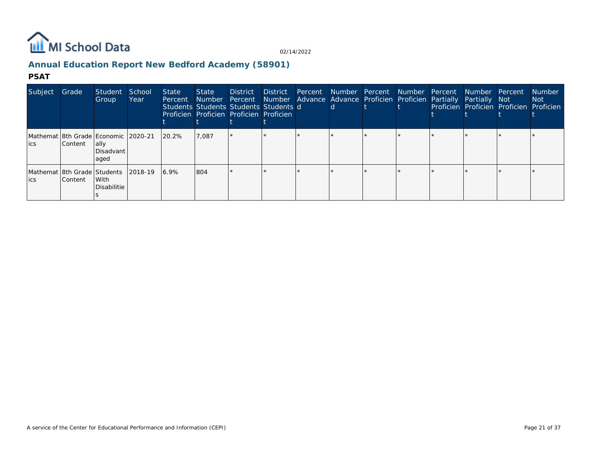

# **Annual Education Report New Bedford Academy (58901)**

#### **PSAT**

| Subject                             | Grade          | Student<br>Group                                                  | School<br>Year | State<br>Percent | State<br>Number Percent<br>Students Students Students Students d<br>Proficien Proficien Proficien Proficien | <b>District</b> | District |  | Percent Number Percent Number Percent<br>Number Advance Advance Proficien Proficien Partially |  | Number Percent<br><b>Partially Not</b> | Proficien Proficien Proficien Proficien | <b>Number</b><br>Not : |
|-------------------------------------|----------------|-------------------------------------------------------------------|----------------|------------------|-------------------------------------------------------------------------------------------------------------|-----------------|----------|--|-----------------------------------------------------------------------------------------------|--|----------------------------------------|-----------------------------------------|------------------------|
| lics                                | Content        | Mathemat 8th Grade Economic 2020-21<br>lally<br>Disadvant<br>aqed |                | 20.2%            | 7,087                                                                                                       |                 |          |  |                                                                                               |  |                                        |                                         |                        |
| Mathemat 8th Grade Students<br>lics | <b>Content</b> | With<br>Disabilitie                                               | 2018-19        | 16.9%            | 804                                                                                                         |                 |          |  |                                                                                               |  |                                        |                                         |                        |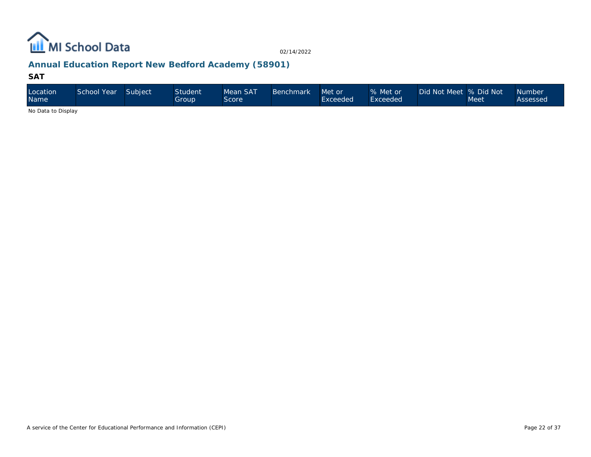

# **Annual Education Report New Bedford Academy (58901)**

### **SAT**

| Location<br>Name   | School Year | Subject | <b>Student</b><br>Group | Mean SAT<br>Score | Benchmark | Met or<br>Exceeded | % Met or<br>Exceeded | Did Not Meet  % Did Not | <b>Meet</b> | Mumber<br>Assessed |
|--------------------|-------------|---------|-------------------------|-------------------|-----------|--------------------|----------------------|-------------------------|-------------|--------------------|
| No Dota to Dianlau |             |         |                         |                   |           |                    |                      |                         |             |                    |

No Data to Display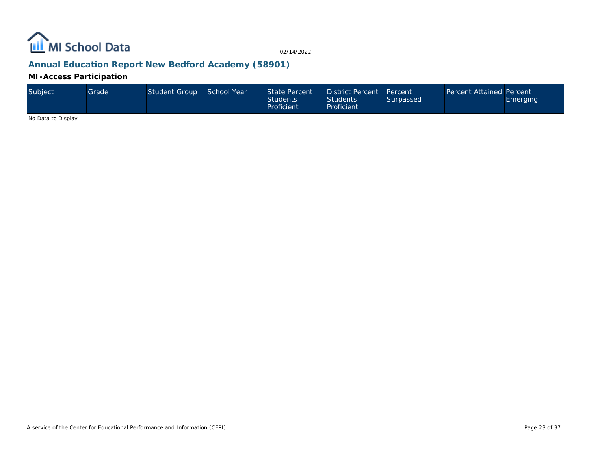

# **Annual Education Report New Bedford Academy (58901)**

**MI-Access Participation**

| Subject | Grade' | Student Group | School Year | State Percent<br><b>Students</b><br>Proficient | District Percent Percent<br><b>Students</b><br>Proficient | Surpassed | Percent Attained Percent | <b>Emerging</b> |
|---------|--------|---------------|-------------|------------------------------------------------|-----------------------------------------------------------|-----------|--------------------------|-----------------|
|---------|--------|---------------|-------------|------------------------------------------------|-----------------------------------------------------------|-----------|--------------------------|-----------------|

No Data to Display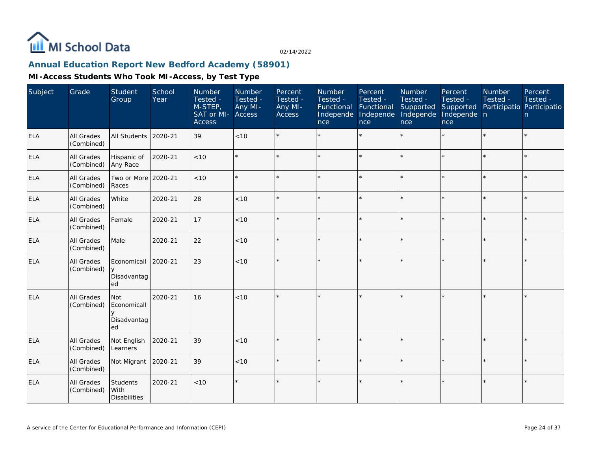

### **Annual Education Report New Bedford Academy (58901)**

| Subject    | Grade                    | Student<br>Group                        | School<br>Year | Number<br>Tested -<br>M-STEP,<br>SAT or MI- Access<br><b>Access</b> | Number<br>Tested -<br>Any MI- | Percent<br>Tested -<br>Any MI-<br>Access | Number<br>Tested -<br>Functional<br>Independe<br>nce | Percent<br>Tested -<br>Functional<br>Independe<br>nce | Number<br>Tested -<br>Supported<br>Independe<br>nce | Percent<br>Tested -<br>Supported<br>Independe n<br>nce | Number<br>Tested -<br>Participatio Participatio | Percent<br>Tested -<br>n |
|------------|--------------------------|-----------------------------------------|----------------|---------------------------------------------------------------------|-------------------------------|------------------------------------------|------------------------------------------------------|-------------------------------------------------------|-----------------------------------------------------|--------------------------------------------------------|-------------------------------------------------|--------------------------|
| <b>ELA</b> | All Grades<br>(Combined) | All Students                            | 2020-21        | 39                                                                  | < 10                          |                                          |                                                      | $\star$                                               | ÷                                                   |                                                        | $\star$                                         | $\star$                  |
| <b>ELA</b> | All Grades<br>(Combined) | Hispanic of<br>Any Race                 | 2020-21        | < 10                                                                |                               |                                          |                                                      |                                                       | $\star$                                             | $\star$                                                |                                                 | $\star$                  |
| ELA        | All Grades<br>(Combined) | Two or More 2020-21<br>Races            |                | < 10                                                                |                               |                                          |                                                      |                                                       | ÷                                                   | $\star$                                                |                                                 | $\star$                  |
| ELA        | All Grades<br>(Combined) | White                                   | 2020-21        | 28                                                                  | < 10                          |                                          |                                                      |                                                       |                                                     |                                                        |                                                 | $\star$                  |
| <b>ELA</b> | All Grades<br>(Combined) | Female                                  | 2020-21        | 17                                                                  | < 10                          |                                          |                                                      |                                                       |                                                     |                                                        |                                                 | $\star$                  |
| <b>ELA</b> | All Grades<br>(Combined) | Male                                    | 2020-21        | 22                                                                  | $<10$                         |                                          |                                                      |                                                       |                                                     |                                                        |                                                 | $\star$                  |
| <b>ELA</b> | All Grades<br>(Combined) | Economicall<br>y<br>Disadvantag<br>ed   | 2020-21        | 23                                                                  | < 10                          |                                          |                                                      |                                                       |                                                     |                                                        |                                                 | $\star$                  |
| ELA        | All Grades<br>(Combined) | Not<br>Economicall<br>Disadvantag<br>ed | 2020-21        | 16                                                                  | < 10                          |                                          |                                                      |                                                       |                                                     |                                                        |                                                 | $\star$                  |
| <b>ELA</b> | All Grades<br>(Combined) | Not English<br>Learners                 | 2020-21        | 39                                                                  | $<10$                         | $\star$                                  |                                                      |                                                       |                                                     |                                                        |                                                 | $\star$                  |
| <b>ELA</b> | All Grades<br>(Combined) | Not Migrant                             | 2020-21        | 39                                                                  | < 10                          |                                          |                                                      |                                                       |                                                     |                                                        |                                                 | $\star$                  |
| <b>ELA</b> | All Grades<br>(Combined) | Students<br>With<br><b>Disabilities</b> | 2020-21        | < 10                                                                |                               | $\star$                                  |                                                      |                                                       |                                                     |                                                        |                                                 | $\star$                  |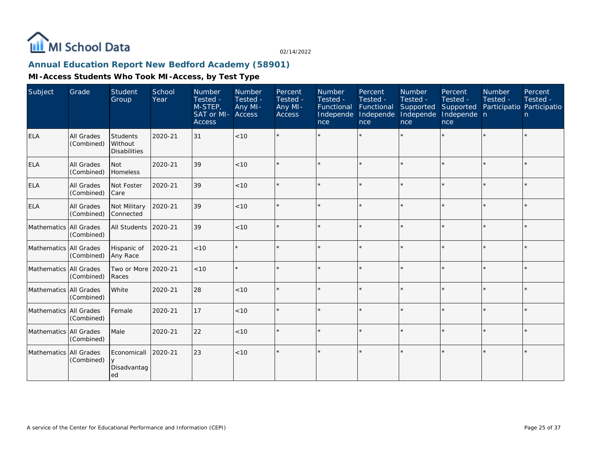

# **Annual Education Report New Bedford Academy (58901)**

| Subject                | Grade                           | Student<br>Group                           | School<br>Year | Number<br>Tested -<br>M-STEP,<br>SAT or MI- Access<br><b>Access</b> | Number<br>Tested -<br>Any MI- | Percent<br>Tested -<br>Any MI-<br><b>Access</b> | Number<br>Tested -<br>Functional Functional<br>Independe<br>nce | Percent<br>Tested -<br>Independe<br>nce | Number<br>Tested -<br>Supported<br>Independe<br>nce | Percent<br>Tested -<br>Supported<br>Independe n<br>nce | Number<br>Tested -<br>Participatio Participatio | Percent<br>Tested -<br>n |
|------------------------|---------------------------------|--------------------------------------------|----------------|---------------------------------------------------------------------|-------------------------------|-------------------------------------------------|-----------------------------------------------------------------|-----------------------------------------|-----------------------------------------------------|--------------------------------------------------------|-------------------------------------------------|--------------------------|
| <b>ELA</b>             | All Grades<br>(Combined)        | Students<br>Without<br><b>Disabilities</b> | 2020-21        | 31                                                                  | < 10                          |                                                 |                                                                 |                                         | ÷.                                                  |                                                        |                                                 | $\star$                  |
| <b>ELA</b>             | All Grades<br>(Combined)        | Not<br>Homeless                            | 2020-21        | 39                                                                  | < 10                          |                                                 |                                                                 |                                         |                                                     |                                                        |                                                 | $\star$                  |
| <b>ELA</b>             | <b>All Grades</b><br>(Combined) | Not Foster<br>l Care                       | 2020-21        | 39                                                                  | < 10                          |                                                 |                                                                 |                                         | $\star$                                             |                                                        |                                                 | $\star$                  |
| <b>ELA</b>             | All Grades<br>(Combined)        | Not Military<br>Connected                  | 2020-21        | 39                                                                  | < 10                          |                                                 |                                                                 |                                         |                                                     |                                                        |                                                 | $\star$                  |
| Mathematics All Grades | (Combined)                      | All Students                               | 2020-21        | 39                                                                  | < 10                          |                                                 |                                                                 |                                         |                                                     |                                                        |                                                 | $\star$                  |
| Mathematics All Grades | (Combined)                      | Hispanic of<br>Any Race                    | 2020-21        | < 10                                                                |                               |                                                 |                                                                 |                                         |                                                     |                                                        |                                                 | $\star$                  |
| Mathematics All Grades | (Combined)                      | Two or More<br>Races                       | 2020-21        | < 10                                                                |                               | $\Phi$                                          |                                                                 | ÷                                       | $\star$                                             |                                                        | $\star$                                         | $\star$                  |
| Mathematics All Grades | (Combined)                      | White                                      | 2020-21        | 28                                                                  | < 10                          |                                                 |                                                                 |                                         |                                                     | ×.                                                     |                                                 | $\star$                  |
| Mathematics All Grades | (Combined)                      | Female                                     | 2020-21        | 17                                                                  | < 10                          |                                                 |                                                                 |                                         |                                                     |                                                        |                                                 | $\star$                  |
| Mathematics All Grades | (Combined)                      | Male                                       | 2020-21        | 22                                                                  | < 10                          | $\star$                                         |                                                                 |                                         | $\star$                                             |                                                        |                                                 | $\star$                  |
| Mathematics All Grades | (Combined)                      | Economicall<br>Disadvantag<br>ed           | 2020-21        | 23                                                                  | < 10                          |                                                 |                                                                 |                                         |                                                     |                                                        |                                                 | $\star$                  |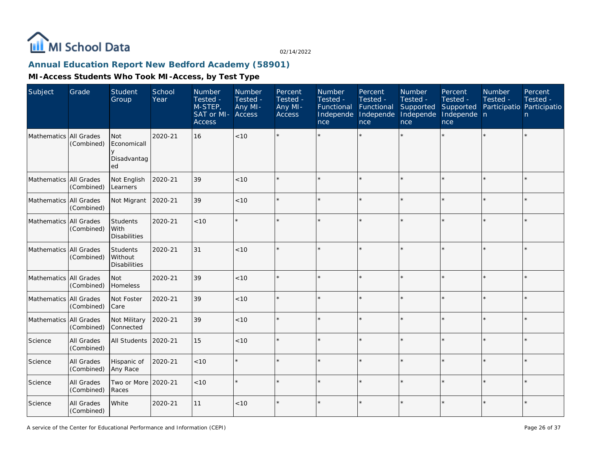

# **Annual Education Report New Bedford Academy (58901)**

| Subject                  | Grade                    | Student<br>Group                               | School<br>Year | Number<br>Tested -<br>$M-STEP$<br>SAT or MI-<br>Access | Number<br>Tested -<br>Any MI-<br>Access | Percent<br>Tested -<br>Any MI-<br>Access | Number<br>Tested -<br>Functional<br>Independe<br>nce | Percent<br>Tested -<br>Functional<br>Independe<br>nce | Number<br>Tested -<br>Supported<br>Independe<br>nce | Percent<br>Tested -<br>Supported<br>Independe n<br>nce | Number<br>Tested -<br>Participatio Participatio | Percent<br>Tested -<br>$\mathsf{n}$ |
|--------------------------|--------------------------|------------------------------------------------|----------------|--------------------------------------------------------|-----------------------------------------|------------------------------------------|------------------------------------------------------|-------------------------------------------------------|-----------------------------------------------------|--------------------------------------------------------|-------------------------------------------------|-------------------------------------|
| Mathematics All Grades   | (Combined)               | <b>Not</b><br>Economicall<br>Disadvantag<br>ed | 2020-21        | 16                                                     | <10                                     |                                          |                                                      |                                                       |                                                     |                                                        |                                                 | $\star$                             |
| Mathematics All Grades   | (Combined)               | Not English<br>Learners                        | 2020-21        | 39                                                     | < 10                                    |                                          |                                                      |                                                       |                                                     |                                                        |                                                 | $\star$                             |
| Mathematics All Grades   | (Combined)               | Not Migrant                                    | 2020-21        | 39                                                     | $<10$                                   |                                          |                                                      |                                                       |                                                     |                                                        |                                                 | $\star$                             |
| Mathematics All Grades   | (Combined)               | Students<br>l With<br><b>Disabilities</b>      | 2020-21        | < 10                                                   | $\star$                                 |                                          |                                                      |                                                       |                                                     |                                                        |                                                 | $\star$                             |
| Mathematics   All Grades | (Combined)               | Students<br>Without<br><b>Disabilities</b>     | 2020-21        | 31                                                     | < 10                                    |                                          |                                                      |                                                       |                                                     |                                                        |                                                 | $\star$                             |
| Mathematics All Grades   | (Combined)               | <b>Not</b><br>Homeless                         | 2020-21        | 39                                                     | < 10                                    |                                          |                                                      |                                                       |                                                     |                                                        |                                                 | $\star$                             |
| Mathematics All Grades   | (Combined)               | Not Foster<br><b>Care</b>                      | 2020-21        | 39                                                     | $<10$                                   |                                          |                                                      |                                                       |                                                     |                                                        |                                                 | $\star$                             |
| Mathematics All Grades   | (Combined)               | Not Military<br>Connected                      | 2020-21        | 39                                                     | < 10                                    |                                          |                                                      |                                                       |                                                     |                                                        |                                                 | $\star$                             |
| Science                  | All Grades<br>(Combined) | All Students                                   | 2020-21        | 15                                                     | < 10                                    |                                          |                                                      |                                                       |                                                     |                                                        | ×.                                              | $\star$                             |
| Science                  | All Grades<br>(Combined) | Hispanic of<br>Any Race                        | 2020-21        | < 10                                                   | $\star$                                 |                                          |                                                      |                                                       |                                                     |                                                        |                                                 | $\star$                             |
| Science                  | All Grades<br>(Combined) | Two or More 2020-21<br>Races                   |                | < 10                                                   |                                         |                                          |                                                      |                                                       |                                                     |                                                        |                                                 | $\star$                             |
| Science                  | All Grades<br>(Combined) | White                                          | 2020-21        | 11                                                     | < 10                                    |                                          |                                                      |                                                       |                                                     |                                                        |                                                 | $\star$                             |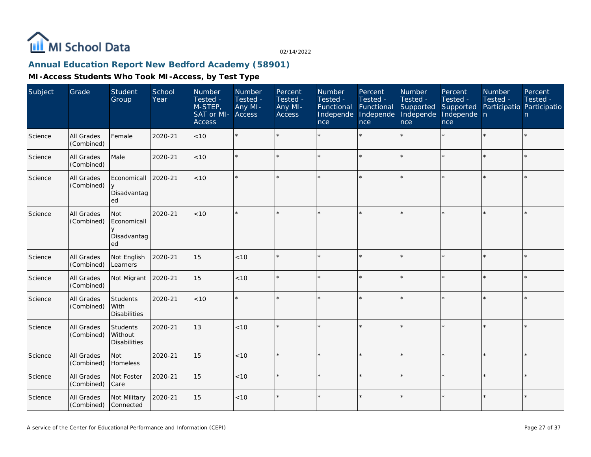

# **Annual Education Report New Bedford Academy (58901)**

| Subject | Grade                    | Student<br>Group                           | School<br>Year | Number<br>Tested -<br>M-STEP,<br>SAT or MI-<br><b>Access</b> | Number<br>Tested -<br>Any MI-<br>Access | Percent<br>Tested -<br>Any MI-<br>Access | Number<br>Tested -<br>Functional<br>Independe<br>nce | Percent<br>Tested -<br>Functional<br>Independe<br>nce | Number<br>Tested -<br>Supported<br>Independe<br>nce | Percent<br>Tested -<br>Supported<br>Independe n<br>nce | Number<br>Tested -<br>Participatio Participatio | Percent<br>Tested -<br>n |
|---------|--------------------------|--------------------------------------------|----------------|--------------------------------------------------------------|-----------------------------------------|------------------------------------------|------------------------------------------------------|-------------------------------------------------------|-----------------------------------------------------|--------------------------------------------------------|-------------------------------------------------|--------------------------|
| Science | All Grades<br>(Combined) | Female                                     | 2020-21        | <10                                                          |                                         |                                          |                                                      |                                                       |                                                     |                                                        |                                                 | $\star$                  |
| Science | All Grades<br>(Combined) | Male                                       | 2020-21        | < 10                                                         |                                         |                                          |                                                      |                                                       |                                                     | $\star$                                                | $\star$                                         | $\star$                  |
| Science | All Grades<br>(Combined) | Economicall<br>y<br>Disadvantag<br>ed      | 2020-21        | < 10                                                         |                                         |                                          |                                                      |                                                       |                                                     | ×.                                                     | $\star$                                         | $\star$                  |
| Science | All Grades<br>(Combined) | l Not<br>Economicall<br>Disadvantag<br>ed  | 2020-21        | < 10                                                         |                                         |                                          |                                                      |                                                       |                                                     |                                                        |                                                 | $\star$                  |
| Science | All Grades<br>(Combined) | Not English<br>Learners                    | 2020-21        | 15                                                           | <10                                     |                                          |                                                      |                                                       |                                                     |                                                        |                                                 | $\star$                  |
| Science | All Grades<br>(Combined) | Not Migrant                                | 2020-21        | 15                                                           | $<10$                                   |                                          |                                                      |                                                       |                                                     | $\star$                                                | $\star$                                         | $\star$                  |
| Science | All Grades<br>(Combined) | Students<br>l With<br><b>Disabilities</b>  | 2020-21        | < 10                                                         |                                         |                                          |                                                      |                                                       |                                                     |                                                        |                                                 | $\star$                  |
| Science | All Grades<br>(Combined) | Students<br>Without<br><b>Disabilities</b> | 2020-21        | 13                                                           | < 10                                    |                                          |                                                      |                                                       |                                                     |                                                        |                                                 | $\star$                  |
| Science | All Grades<br>(Combined) | Not<br>Homeless                            | 2020-21        | 15                                                           | < 10                                    |                                          |                                                      | $\ddot{\phantom{a}}$                                  |                                                     | $\star$                                                | ×                                               | $\star$                  |
| Science | All Grades<br>(Combined) | Not Foster<br>Care                         | 2020-21        | 15                                                           | < 10                                    |                                          |                                                      |                                                       |                                                     | $\star$                                                | $\star$                                         | k.                       |
| Science | All Grades<br>(Combined) | Not Military<br>Connected                  | 2020-21        | 15                                                           | < 10                                    | $\star$                                  |                                                      |                                                       |                                                     | $\star$                                                | $\star$                                         | $\star$                  |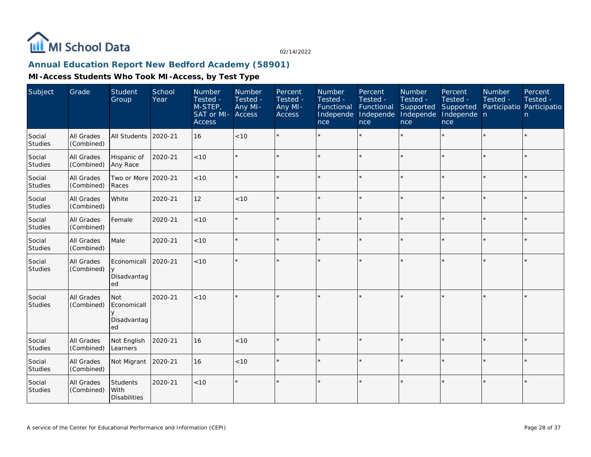

# **Annual Education Report New Bedford Academy (58901)**

| Subject                  | Grade                    | Student<br>Group                               | School<br>Year | Number<br>Tested -<br>M-STEP,<br>SAT or MI-<br><b>Access</b> | Number<br>Tested -<br>Any MI-<br><b>Access</b> | Percent<br>Tested -<br>Any MI-<br><b>Access</b> | Number<br>Tested -<br>Functional<br>Independe<br>nce | Percent<br>Tested -<br>Functional<br>Independe<br>nce | Number<br>Tested -<br>Supported<br>Independe<br>nce | Percent<br>Tested -<br>Supported<br>Independe n<br>nce | Number<br>Tested -<br>Participatio Participatio | Percent<br>Tested -<br>n |
|--------------------------|--------------------------|------------------------------------------------|----------------|--------------------------------------------------------------|------------------------------------------------|-------------------------------------------------|------------------------------------------------------|-------------------------------------------------------|-----------------------------------------------------|--------------------------------------------------------|-------------------------------------------------|--------------------------|
| Social<br><b>Studies</b> | All Grades<br>(Combined) | <b>All Students</b>                            | 2020-21        | 16                                                           | < 10                                           |                                                 |                                                      | $\star$                                               | ÷                                                   | $\star$                                                | $\star$                                         | $\star$                  |
| Social<br><b>Studies</b> | All Grades<br>(Combined) | Hispanic of<br>Any Race                        | 2020-21        | < 10                                                         | $\star$                                        |                                                 |                                                      | $\star$                                               |                                                     | $\star$                                                | $\star$                                         | $\star$                  |
| Social<br>Studies        | All Grades<br>(Combined) | Two or More 2020-21<br>Races                   |                | < 10                                                         | $\star$                                        |                                                 |                                                      | $\star$                                               | ÷,                                                  | ×.                                                     |                                                 | $\star$                  |
| Social<br>Studies        | All Grades<br>(Combined) | White                                          | 2020-21        | 12                                                           | < 10                                           |                                                 |                                                      | $\star$                                               |                                                     | $\star$                                                |                                                 | $\star$                  |
| Social<br>Studies        | All Grades<br>(Combined) | Female                                         | 2020-21        | $<10$                                                        | $\star$                                        |                                                 |                                                      | $\star$                                               |                                                     |                                                        |                                                 | $\star$                  |
| Social<br>Studies        | All Grades<br>(Combined) | Male                                           | 2020-21        | < 10                                                         | $\star$                                        |                                                 |                                                      |                                                       |                                                     | sk.                                                    |                                                 | $\star$                  |
| Social<br>Studies        | All Grades<br>(Combined) | Economicall<br>$\vee$<br>Disadvantag<br>ed     | 2020-21        | < 10                                                         | $\star$                                        |                                                 |                                                      | $\ddot{\phantom{0}}$                                  |                                                     | ×.                                                     |                                                 | $\star$                  |
| Social<br>Studies        | All Grades<br>(Combined) | <b>Not</b><br>Economicall<br>Disadvantag<br>ed | 2020-21        | < 10                                                         | $\star$                                        |                                                 |                                                      | $\ddot{\phantom{0}}$                                  |                                                     | $\star$                                                |                                                 | $\star$                  |
| Social<br>Studies        | All Grades<br>(Combined) | Not English<br>Learners                        | 2020-21        | 16                                                           | < 10                                           |                                                 |                                                      | $\star$                                               |                                                     | $\star$                                                |                                                 | $\star$                  |
| Social<br>Studies        | All Grades<br>(Combined) | Not Migrant                                    | 2020-21        | 16                                                           | < 10                                           |                                                 |                                                      |                                                       |                                                     | ×.                                                     |                                                 | $\star$                  |
| Social<br>Studies        | All Grades<br>(Combined) | Students<br>With<br><b>Disabilities</b>        | 2020-21        | < 10                                                         | $\star$                                        |                                                 |                                                      | $\star$                                               | ÷,                                                  | $\star$                                                |                                                 | $\star$                  |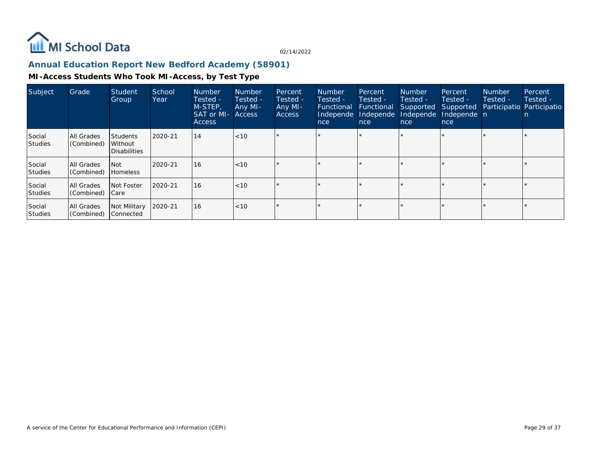

### **Annual Education Report New Bedford Academy (58901)**

| Subject           | Grade                    | Student<br>Group                        | School<br>Year | <b>Number</b><br>Tested -<br>M-STEP,<br><b>SAT or MI- Access</b><br>Access | <b>Number</b><br>Tested -<br>Any MI- | Percent<br>Tested -<br>Any MI-<br><b>Access</b> | <b>Number</b><br>Tested -<br>Functional<br>Independe<br>nce | Percent<br>Tested -<br>Functional<br>Independe<br>nce | <b>Number</b><br>Tested -<br>nce | Percent<br>Tested -<br>Supported Supported<br>Independe Independe n<br>nce | <b>Number</b><br>Tested -<br>Participatio Participatio | Percent<br>Tested - |
|-------------------|--------------------------|-----------------------------------------|----------------|----------------------------------------------------------------------------|--------------------------------------|-------------------------------------------------|-------------------------------------------------------------|-------------------------------------------------------|----------------------------------|----------------------------------------------------------------------------|--------------------------------------------------------|---------------------|
| Social<br>Studies | All Grades<br>(Combined) | l Students<br>Without<br>l Disabilities | 2020-21        | 14                                                                         | < 10                                 |                                                 |                                                             |                                                       |                                  |                                                                            |                                                        |                     |
| Social<br>Studies | All Grades<br>(Combined) | l Not<br><b>Homeless</b>                | 2020-21        | <b>16</b>                                                                  | <10                                  |                                                 |                                                             |                                                       |                                  |                                                                            |                                                        |                     |
| Social<br>Studies | All Grades<br>(Combined) | Not Foster<br>  Care                    | 2020-21        | <b>16</b>                                                                  | < 10                                 |                                                 |                                                             |                                                       |                                  |                                                                            |                                                        |                     |
| Social<br>Studies | All Grades<br>(Combined) | Not Military<br>Connected               | 2020-21        | <b>16</b>                                                                  | < 10                                 |                                                 |                                                             | $\star$                                               |                                  |                                                                            |                                                        |                     |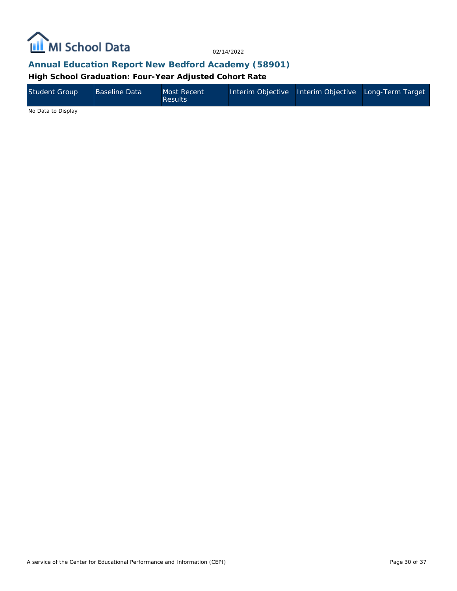

### **Annual Education Report New Bedford Academy (58901)**

**High School Graduation: Four-Year Adjusted Cohort Rate**

| Student Group | <b>Baseline Data</b> | Most Recent<br><b>Results</b> | Interim Objective Interim Objective Long-Term Target |  |
|---------------|----------------------|-------------------------------|------------------------------------------------------|--|
| .             |                      |                               |                                                      |  |

No Data to Display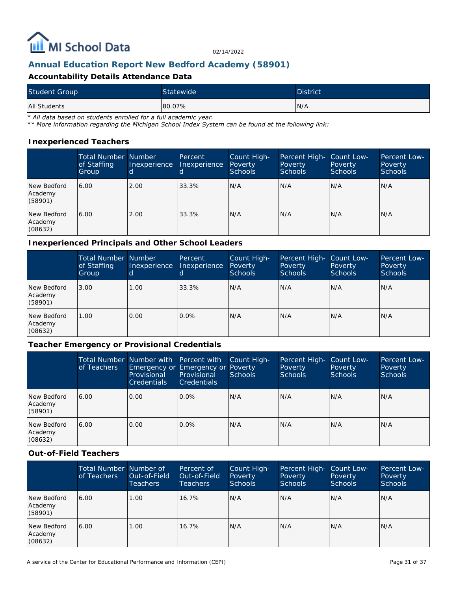

### **Annual Education Report New Bedford Academy (58901)**

### **Accountability Details Attendance Data**

| <b>Student Group</b> | Statewide | <b>District</b> |
|----------------------|-----------|-----------------|
| All Students         | 80.07%    | IN/A            |

*\* All data based on students enrolled for a full academic year.*

*\*\* More information regarding the Michigan School Index System can be found at the following link:*

#### **Inexperienced Teachers**

|                                   | <b>Total Number Number</b><br>of Staffing<br>Group | Inexperience | Percent<br>Inexperience | Count High-<br>Poverty<br><b>Schools</b> | Percent High-<br>Poverty<br><b>Schools</b> | Count Low-<br>Poverty<br><b>Schools</b> | Percent Low-<br>Poverty<br><b>Schools</b> |
|-----------------------------------|----------------------------------------------------|--------------|-------------------------|------------------------------------------|--------------------------------------------|-----------------------------------------|-------------------------------------------|
| New Bedford<br>Academy<br>(58901) | 6.00                                               | 2.00         | 33.3%                   | N/A                                      | N/A                                        | N/A                                     | N/A                                       |
| New Bedford<br>Academy<br>(08632) | 6.00                                               | 2.00         | 33.3%                   | IN/A                                     | N/A                                        | N/A                                     | N/A                                       |

#### **Inexperienced Principals and Other School Leaders**

|                                   | <b>Total Number Number</b><br>of Staffing<br>Group | Inexperience | Percent<br>Inexperience | Count High-<br>Poverty<br><b>Schools</b> | Percent High-<br>Poverty<br><b>Schools</b> | Count Low-<br>Poverty<br>Schools | Percent Low-<br>Poverty<br><b>Schools</b> |
|-----------------------------------|----------------------------------------------------|--------------|-------------------------|------------------------------------------|--------------------------------------------|----------------------------------|-------------------------------------------|
| New Bedford<br>Academy<br>(58901) | 3.00                                               | 1.00         | 33.3%                   | IN/A                                     | N/A                                        | N/A                              | IN/A                                      |
| New Bedford<br>Academy<br>(08632) | 1.00                                               | 0.00         | $0.0\%$                 | IN/A                                     | N/A                                        | N/A                              | IN/A                                      |

### **Teacher Emergency or Provisional Credentials**

|                                   | of Teachers | Total Number Number with Percent with<br>Emergency or Emergency or Poverty<br>Provisional<br><b>Credentials</b> | Provisional<br><b>Credentials</b> | Count High-<br><b>Schools</b> | Percent High-<br>Poverty<br>Schools | Count Low-<br>Poverty<br><b>Schools</b> | Percent Low-<br>Poverty<br><b>Schools</b> |
|-----------------------------------|-------------|-----------------------------------------------------------------------------------------------------------------|-----------------------------------|-------------------------------|-------------------------------------|-----------------------------------------|-------------------------------------------|
| New Bedford<br>Academy<br>(58901) | 6.00        | 0.00                                                                                                            | $0.0\%$                           | N/A                           | N/A                                 | N/A                                     | IN/A                                      |
| New Bedford<br>Academy<br>(08632) | 6.00        | 0.00                                                                                                            | $0.0\%$                           | N/A                           | N/A                                 | N/A                                     | IN/A                                      |

**Out-of-Field Teachers**

|                                   | Total Number Number of<br>of Teachers | Out-of-Field<br><b>Teachers</b> | Percent of<br>Out-of-Field<br>Teachers | Count High-<br>Poverty<br><b>Schools</b> | Percent High-<br>Poverty<br>Schools | Count Low-<br>Poverty<br><b>Schools</b> | Percent Low-<br>Poverty<br><b>Schools</b> |
|-----------------------------------|---------------------------------------|---------------------------------|----------------------------------------|------------------------------------------|-------------------------------------|-----------------------------------------|-------------------------------------------|
| New Bedford<br>Academy<br>(58901) | 6.00                                  | 1.00                            | $16.7\%$                               | IN/A                                     | N/A                                 | N/A                                     | N/A                                       |
| New Bedford<br>Academy<br>(08632) | 6.00                                  | 1.00                            | $16.7\%$                               | N/A                                      | N/A                                 | N/A                                     | N/A                                       |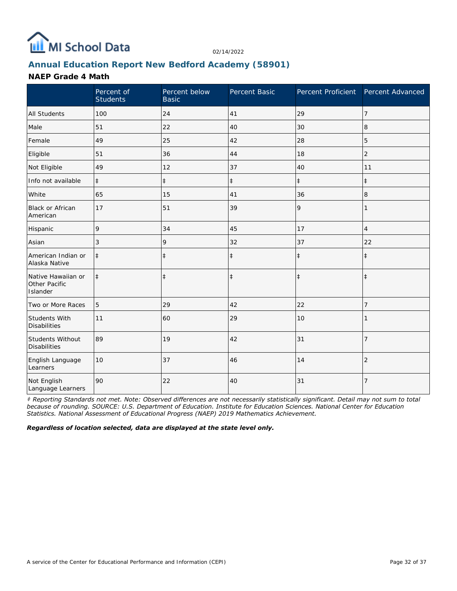

# **Annual Education Report New Bedford Academy (58901)**

### **NAEP Grade 4 Math**

|                                                 | Percent of<br><b>Students</b> | Percent below<br><b>Basic</b> | Percent Basic | Percent Proficient Percent Advanced |                |
|-------------------------------------------------|-------------------------------|-------------------------------|---------------|-------------------------------------|----------------|
| <b>All Students</b>                             | 100                           | 24                            | 41            | 29                                  | 7              |
| Male                                            | 51                            | 22                            | 40            | 30                                  | 8              |
| Female                                          | 49                            | 25                            | 42            | 28                                  | 5              |
| Eligible                                        | 51                            | 36                            | 44            | 18                                  | $\overline{2}$ |
| Not Eligible                                    | 49                            | 12                            | 37            | 40                                  | 11             |
| Info not available                              | $\ddagger$                    | $\ddagger$                    | $\ddagger$    | $\ddagger$                          | $\ddagger$     |
| White                                           | 65                            | 15                            | 41            | 36                                  | 8              |
| <b>Black or African</b><br>American             | 17                            | 51                            | 39            | 9                                   | 1              |
| Hispanic                                        | 9                             | 34                            | 45            | 17                                  | $\overline{4}$ |
| Asian                                           | 3                             | 9                             | 32            | 37                                  | 22             |
| American Indian or<br>Alaska Native             | $\ddagger$                    | $\ddagger$                    | $\ddagger$    | $\ddagger$                          | $\ddagger$     |
| Native Hawaiian or<br>Other Pacific<br>Islander | $\ddagger$                    | $\ddagger$                    | $\ddagger$    | $\ddagger$                          | $\ddagger$     |
| Two or More Races                               | 5                             | 29                            | 42            | 22                                  | 7              |
| <b>Students With</b><br><b>Disabilities</b>     | 11                            | 60                            | 29            | 10                                  |                |
| Students Without<br><b>Disabilities</b>         | 89                            | 19                            | 42            | 31                                  | $\overline{7}$ |
| English Language<br>Learners                    | 10                            | 37                            | 46            | 14                                  | $\overline{2}$ |
| Not English<br>Language Learners                | 90                            | 22                            | 40            | 31                                  | $\overline{7}$ |

*‡ Reporting Standards not met. Note: Observed differences are not necessarily statistically significant. Detail may not sum to total because of rounding. SOURCE: U.S. Department of Education. Institute for Education Sciences. National Center for Education Statistics. National Assessment of Educational Progress (NAEP) 2019 Mathematics Achievement.*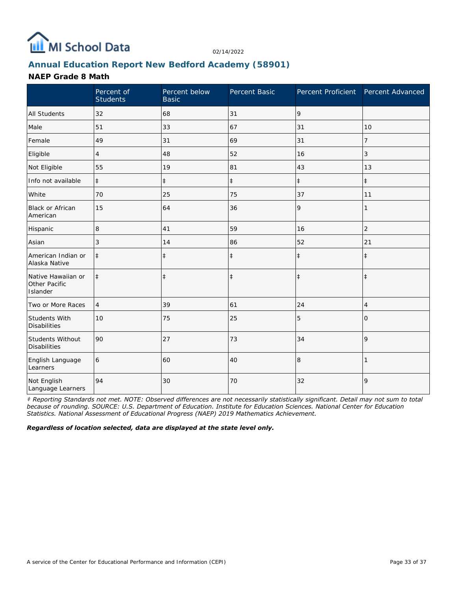

# **Annual Education Report New Bedford Academy (58901)**

### **NAEP Grade 8 Math**

|                                                 | Percent of<br><b>Students</b> | Percent below<br><b>Basic</b> | Percent Basic | Percent Proficient | Percent Advanced |
|-------------------------------------------------|-------------------------------|-------------------------------|---------------|--------------------|------------------|
| <b>All Students</b>                             | 32                            | 68                            | 31            | 9                  |                  |
| Male                                            | 51                            | 33                            | 67            | 31                 | 10               |
| Female                                          | 49                            | 31                            | 69            | 31                 | 7                |
| Eligible                                        | 4                             | 48                            | 52            | 16                 | 3                |
| Not Eligible                                    | 55                            | 19                            | 81            | 43                 | 13               |
| Info not available                              | $\ddagger$                    | $\ddagger$                    | $\ddagger$    | $\ddagger$         | $\ddagger$       |
| White                                           | 70                            | 25                            | 75            | 37                 | 11               |
| <b>Black or African</b><br>American             | 15                            | 64                            | 36            | 9                  | 1                |
| Hispanic                                        | 8                             | 41                            | 59            | 16                 | $\overline{2}$   |
| Asian                                           | 3                             | 14                            | 86            | 52                 | 21               |
| American Indian or<br>Alaska Native             | $\ddagger$                    | $\ddagger$                    | $\ddagger$    | $\ddagger$         | $\ddagger$       |
| Native Hawaiian or<br>Other Pacific<br>Islander | $\ddagger$                    | $\ddagger$                    | $\ddagger$    | $\ddagger$         | $\ddagger$       |
| Two or More Races                               | $\overline{4}$                | 39                            | 61            | 24                 | 4                |
| Students With<br><b>Disabilities</b>            | 10                            | 75                            | 25            | 5                  | $\Omega$         |
| Students Without<br><b>Disabilities</b>         | 90                            | 27                            | 73            | 34                 | 9                |
| English Language<br>Learners                    | 6                             | 60                            | 40            | 8                  |                  |
| Not English<br>Language Learners                | 94                            | 30                            | 70            | 32                 | 9                |

*‡ Reporting Standards not met. NOTE: Observed differences are not necessarily statistically significant. Detail may not sum to total because of rounding. SOURCE: U.S. Department of Education. Institute for Education Sciences. National Center for Education Statistics. National Assessment of Educational Progress (NAEP) 2019 Mathematics Achievement.*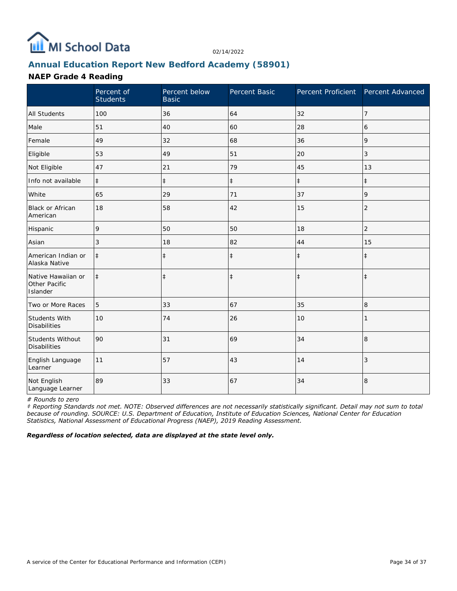

# **Annual Education Report New Bedford Academy (58901)**

### **NAEP Grade 4 Reading**

|                                                 | Percent of<br><b>Students</b> | Percent below<br><b>Basic</b> | Percent Basic | Percent Proficient Percent Advanced |                |
|-------------------------------------------------|-------------------------------|-------------------------------|---------------|-------------------------------------|----------------|
| <b>All Students</b>                             | 100                           | 36                            | 64            | 32                                  | $\overline{7}$ |
| Male                                            | 51                            | 40                            | 60            | 28                                  | 6              |
| Female                                          | 49                            | 32                            | 68            | 36                                  | 9              |
| Eligible                                        | 53                            | 49                            | 51            | 20                                  | 3              |
| Not Eligible                                    | 47                            | 21                            | 79            | 45                                  | 13             |
| Info not available                              | $\ddagger$                    | $\ddagger$                    | $\ddagger$    | $\ddagger$                          | $\ddagger$     |
| White                                           | 65                            | 29                            | 71            | 37                                  | 9              |
| Black or African<br>American                    | 18                            | 58                            | 42            | 15                                  | $\overline{2}$ |
| Hispanic                                        | 9                             | 50                            | 50            | 18                                  | 2              |
| Asian                                           | 3                             | 18                            | 82            | 44                                  | 15             |
| American Indian or<br>Alaska Native             | $\ddagger$                    | $\ddagger$                    | $\ddagger$    | $\ddagger$                          | $\ddagger$     |
| Native Hawaiian or<br>Other Pacific<br>Islander | $\ddagger$                    | $\ddagger$                    | $\ddagger$    | $\ddagger$                          | $\ddagger$     |
| Two or More Races                               | 5                             | 33                            | 67            | 35                                  | 8              |
| Students With<br><b>Disabilities</b>            | 10                            | 74                            | 26            | 10                                  |                |
| Students Without<br><b>Disabilities</b>         | 90                            | 31                            | 69            | 34                                  | 8              |
| English Language<br>Learner                     | 11                            | 57                            | 43            | 14                                  | 3              |
| Not English<br>Language Learner                 | 89                            | 33                            | 67            | 34                                  | 8              |

*# Rounds to zero*

*‡ Reporting Standards not met. NOTE: Observed differences are not necessarily statistically significant. Detail may not sum to total because of rounding. SOURCE: U.S. Department of Education, Institute of Education Sciences, National Center for Education Statistics, National Assessment of Educational Progress (NAEP), 2019 Reading Assessment.*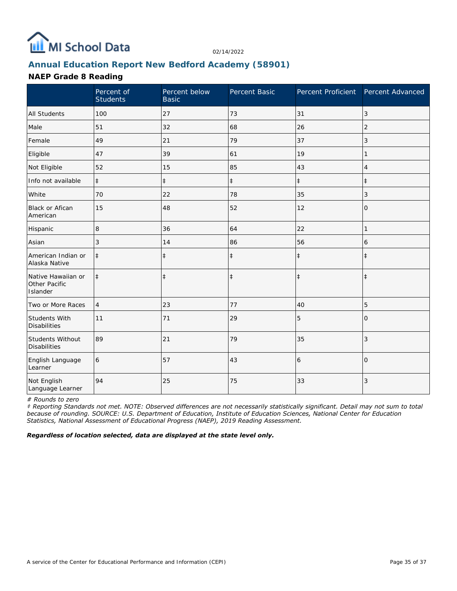

# **Annual Education Report New Bedford Academy (58901)**

### **NAEP Grade 8 Reading**

|                                                 | Percent of<br><b>Students</b> | Percent below<br><b>Basic</b> | Percent Basic | Percent Proficient Percent Advanced |                |
|-------------------------------------------------|-------------------------------|-------------------------------|---------------|-------------------------------------|----------------|
| <b>All Students</b>                             | 100                           | 27                            | 73            | 31                                  | $\mathfrak{Z}$ |
| Male                                            | 51                            | 32                            | 68            | 26                                  | 2              |
| Female                                          | 49                            | 21                            | 79            | 37                                  | 3              |
| Eligible                                        | 47                            | 39                            | 61            | 19                                  | 1              |
| Not Eligible                                    | 52                            | 15                            | 85            | 43                                  | 4              |
| Info not available                              | $\ddagger$                    | $\ddagger$                    | $\ddagger$    | $\ddagger$                          | $\ddagger$     |
| White                                           | 70                            | 22                            | 78            | 35                                  | 3              |
| <b>Black or Afican</b><br>American              | 15                            | 48                            | 52            | 12                                  | 0              |
| Hispanic                                        | 8                             | 36                            | 64            | 22                                  | 1              |
| Asian                                           | 3                             | 14                            | 86            | 56                                  | 6              |
| American Indian or<br>Alaska Native             | $\ddagger$                    | $\ddagger$                    | $\ddagger$    | $\ddagger$                          | $\ddagger$     |
| Native Hawaiian or<br>Other Pacific<br>Islander | $\ddagger$                    | $\ddagger$                    | $\ddagger$    | $\ddagger$                          | $\ddagger$     |
| Two or More Races                               | $\overline{4}$                | 23                            | 77            | 40                                  | 5              |
| Students With<br><b>Disabilities</b>            | 11                            | 71                            | 29            | 5                                   | $\Omega$       |
| Students Without<br><b>Disabilities</b>         | 89                            | 21                            | 79            | 35                                  | 3              |
| English Language<br>Learner                     | 6                             | 57                            | 43            | 6                                   | $\Omega$       |
| Not English<br>Language Learner                 | 94                            | 25                            | 75            | 33                                  | 3              |

*# Rounds to zero*

*‡ Reporting Standards not met. NOTE: Observed differences are not necessarily statistically significant. Detail may not sum to total because of rounding. SOURCE: U.S. Department of Education, Institute of Education Sciences, National Center for Education Statistics, National Assessment of Educational Progress (NAEP), 2019 Reading Assessment.*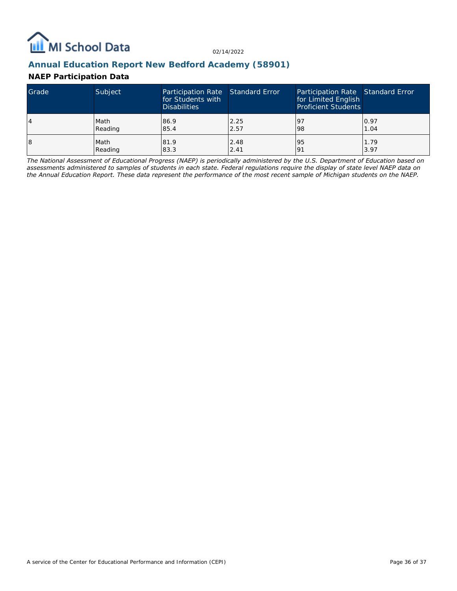

## **Annual Education Report New Bedford Academy (58901)**

### **NAEP Participation Data**

| Grade | Subject | Participation Rate Standard Error<br>for Students with<br><b>Disabilities</b> |      | Participation Rate Standard Error<br>for Limited English<br><b>Proficient Students</b> |      |
|-------|---------|-------------------------------------------------------------------------------|------|----------------------------------------------------------------------------------------|------|
| 4     | Math    | 86.9                                                                          | 2.25 | <u>l</u> 9                                                                             | 0.97 |
|       | Reading | 85.4                                                                          | 2.57 | 98                                                                                     | 1.04 |
| 18    | Math    | 81.9                                                                          | 2.48 | 95                                                                                     | 1.79 |
|       | Reading | 83.3                                                                          | 2.41 | 191                                                                                    | 3.97 |

*The National Assessment of Educational Progress (NAEP) is periodically administered by the U.S. Department of Education based on assessments administered to samples of students in each state. Federal regulations require the display of state level NAEP data on the Annual Education Report. These data represent the performance of the most recent sample of Michigan students on the NAEP.*